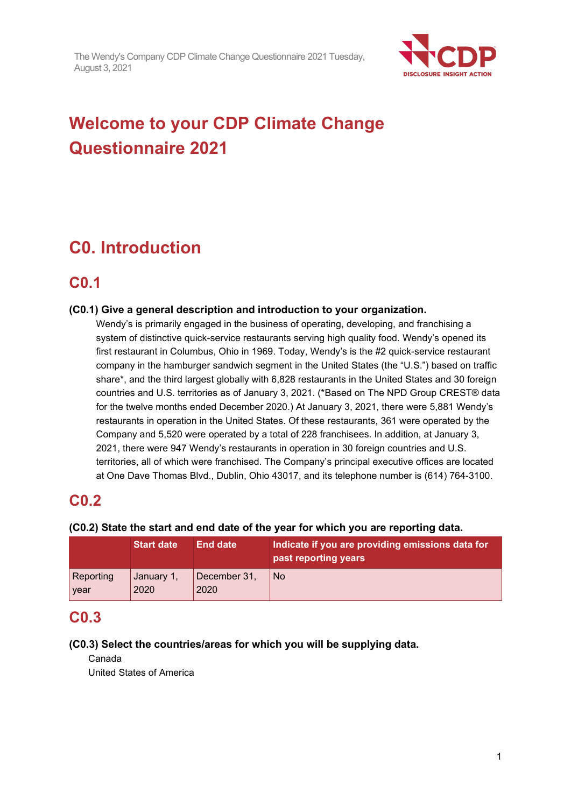

# **Welcome to your CDP Climate Change Questionnaire 2021**

# **C0. Introduction**

## **C0.1**

### **(C0.1) Give a general description and introduction to your organization.**

Wendy's is primarily engaged in the business of operating, developing, and franchising a system of distinctive quick-service restaurants serving high quality food. Wendy's opened its first restaurant in Columbus, Ohio in 1969. Today, Wendy's is the #2 quick-service restaurant company in the hamburger sandwich segment in the United States (the "U.S.") based on traffic share\*, and the third largest globally with 6,828 restaurants in the United States and 30 foreign countries and U.S. territories as of January 3, 2021. (\*Based on The NPD Group CREST® data for the twelve months ended December 2020.) At January 3, 2021, there were 5,881 Wendy's restaurants in operation in the United States. Of these restaurants, 361 were operated by the Company and 5,520 were operated by a total of 228 franchisees. In addition, at January 3, 2021, there were 947 Wendy's restaurants in operation in 30 foreign countries and U.S. territories, all of which were franchised. The Company's principal executive offices are located at One Dave Thomas Blvd., Dublin, Ohio 43017, and its telephone number is (614) 764-3100.

## **C0.2**

#### **(C0.2) State the start and end date of the year for which you are reporting data.**

|           | <b>Start date</b> | <b>End date</b> | Indicate if you are providing emissions data for<br>past reporting years |
|-----------|-------------------|-----------------|--------------------------------------------------------------------------|
| Reporting | January 1,        | December 31,    | l No                                                                     |
| year      | 2020              | 2020            |                                                                          |

## **C0.3**

#### **(C0.3) Select the countries/areas for which you will be supplying data.**

Canada

United States of America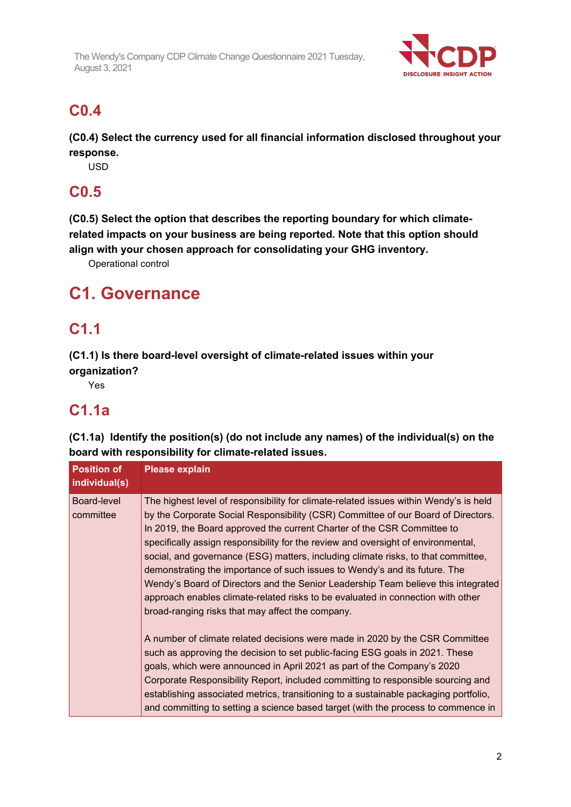

## **C0.4**

**(C0.4) Select the currency used for all financial information disclosed throughout your response.**

USD

## **C0.5**

**(C0.5) Select the option that describes the reporting boundary for which climaterelated impacts on your business are being reported. Note that this option should align with your chosen approach for consolidating your GHG inventory.**

Operational control

## **C1. Governance**

## **C1.1**

**(C1.1) Is there board-level oversight of climate-related issues within your organization?**

Yes

## **C1.1a**

**(C1.1a) Identify the position(s) (do not include any names) of the individual(s) on the board with responsibility for climate-related issues.**

| <b>Position of</b><br>individual(s) | <b>Please explain</b>                                                                                                                                                                                                                                                                                                                                                                                                                                                                                                                                                                                                                                                                                                                     |
|-------------------------------------|-------------------------------------------------------------------------------------------------------------------------------------------------------------------------------------------------------------------------------------------------------------------------------------------------------------------------------------------------------------------------------------------------------------------------------------------------------------------------------------------------------------------------------------------------------------------------------------------------------------------------------------------------------------------------------------------------------------------------------------------|
| Board-level<br>committee            | The highest level of responsibility for climate-related issues within Wendy's is held<br>by the Corporate Social Responsibility (CSR) Committee of our Board of Directors.<br>In 2019, the Board approved the current Charter of the CSR Committee to<br>specifically assign responsibility for the review and oversight of environmental,<br>social, and governance (ESG) matters, including climate risks, to that committee,<br>demonstrating the importance of such issues to Wendy's and its future. The<br>Wendy's Board of Directors and the Senior Leadership Team believe this integrated<br>approach enables climate-related risks to be evaluated in connection with other<br>broad-ranging risks that may affect the company. |
|                                     | A number of climate related decisions were made in 2020 by the CSR Committee<br>such as approving the decision to set public-facing ESG goals in 2021. These<br>goals, which were announced in April 2021 as part of the Company's 2020<br>Corporate Responsibility Report, included committing to responsible sourcing and<br>establishing associated metrics, transitioning to a sustainable packaging portfolio,<br>and committing to setting a science based target (with the process to commence in                                                                                                                                                                                                                                  |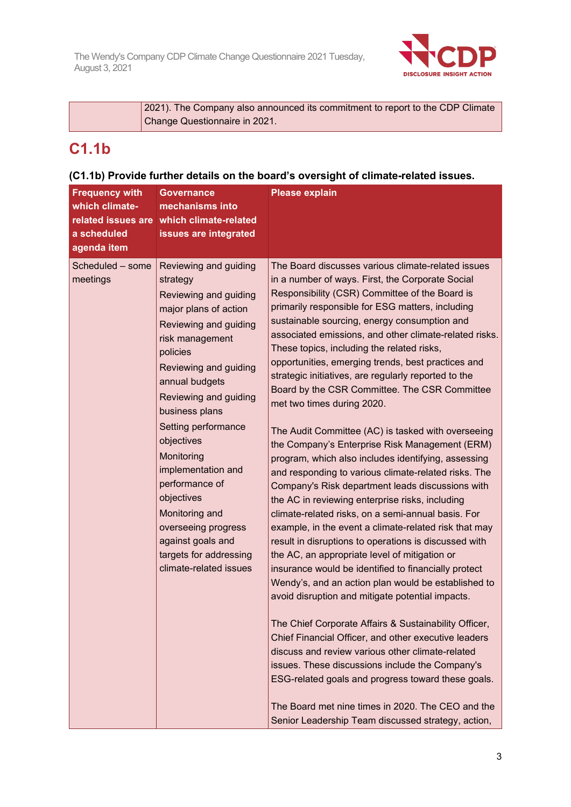

| [2021]. The Company also announced its commitment to report to the CDP Climate |
|--------------------------------------------------------------------------------|
| Change Questionnaire in 2021.                                                  |

## **C1.1b**

### **(C1.1b) Provide further details on the board's oversight of climate-related issues.**

| <b>Frequency with</b><br>which climate-<br>related issues are<br>a scheduled<br>agenda item | <b>Governance</b><br>mechanisms into<br>which climate-related<br>issues are integrated                                                                                                                                                                                                                                                                                                                                                                       | <b>Please explain</b>                                                                                                                                                                                                                                                                                                                                                                                                                                                                                                                                                                                                                                                                                                                                                                                                                                                                                                                                                                                                                                                                                                                                                                                                                                                                                                                                                                                                                                                                                                                                                                                                                                                                |
|---------------------------------------------------------------------------------------------|--------------------------------------------------------------------------------------------------------------------------------------------------------------------------------------------------------------------------------------------------------------------------------------------------------------------------------------------------------------------------------------------------------------------------------------------------------------|--------------------------------------------------------------------------------------------------------------------------------------------------------------------------------------------------------------------------------------------------------------------------------------------------------------------------------------------------------------------------------------------------------------------------------------------------------------------------------------------------------------------------------------------------------------------------------------------------------------------------------------------------------------------------------------------------------------------------------------------------------------------------------------------------------------------------------------------------------------------------------------------------------------------------------------------------------------------------------------------------------------------------------------------------------------------------------------------------------------------------------------------------------------------------------------------------------------------------------------------------------------------------------------------------------------------------------------------------------------------------------------------------------------------------------------------------------------------------------------------------------------------------------------------------------------------------------------------------------------------------------------------------------------------------------------|
| Scheduled - some<br>meetings                                                                | Reviewing and guiding<br>strategy<br>Reviewing and guiding<br>major plans of action<br>Reviewing and guiding<br>risk management<br>policies<br>Reviewing and guiding<br>annual budgets<br>Reviewing and guiding<br>business plans<br>Setting performance<br>objectives<br>Monitoring<br>implementation and<br>performance of<br>objectives<br>Monitoring and<br>overseeing progress<br>against goals and<br>targets for addressing<br>climate-related issues | The Board discusses various climate-related issues<br>in a number of ways. First, the Corporate Social<br>Responsibility (CSR) Committee of the Board is<br>primarily responsible for ESG matters, including<br>sustainable sourcing, energy consumption and<br>associated emissions, and other climate-related risks.<br>These topics, including the related risks,<br>opportunities, emerging trends, best practices and<br>strategic initiatives, are regularly reported to the<br>Board by the CSR Committee. The CSR Committee<br>met two times during 2020.<br>The Audit Committee (AC) is tasked with overseeing<br>the Company's Enterprise Risk Management (ERM)<br>program, which also includes identifying, assessing<br>and responding to various climate-related risks. The<br>Company's Risk department leads discussions with<br>the AC in reviewing enterprise risks, including<br>climate-related risks, on a semi-annual basis. For<br>example, in the event a climate-related risk that may<br>result in disruptions to operations is discussed with<br>the AC, an appropriate level of mitigation or<br>insurance would be identified to financially protect<br>Wendy's, and an action plan would be established to<br>avoid disruption and mitigate potential impacts.<br>The Chief Corporate Affairs & Sustainability Officer,<br>Chief Financial Officer, and other executive leaders<br>discuss and review various other climate-related<br>issues. These discussions include the Company's<br>ESG-related goals and progress toward these goals.<br>The Board met nine times in 2020. The CEO and the<br>Senior Leadership Team discussed strategy, action, |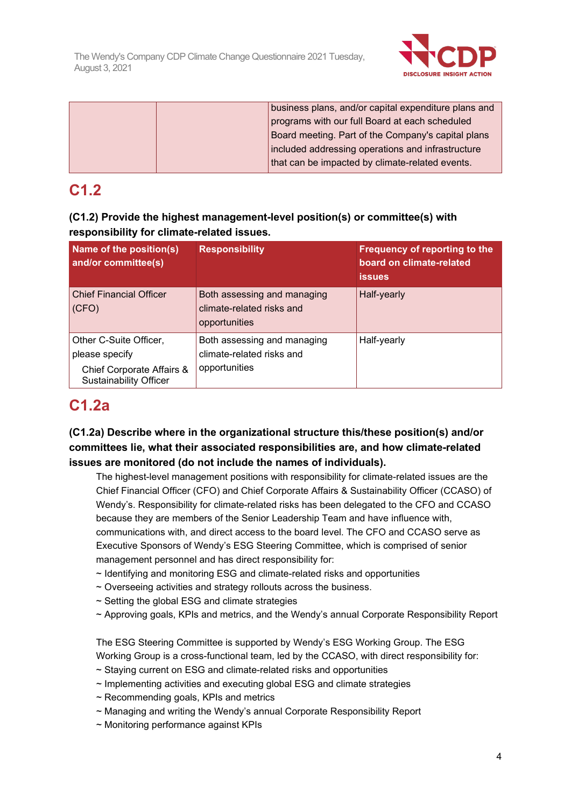

| business plans, and/or capital expenditure plans and |
|------------------------------------------------------|
| programs with our full Board at each scheduled       |
| Board meeting. Part of the Company's capital plans   |
| included addressing operations and infrastructure    |
| that can be impacted by climate-related events.      |

## **C1.2**

| (C1.2) Provide the highest management-level position(s) or committee(s) with |
|------------------------------------------------------------------------------|
| responsibility for climate-related issues.                                   |

| Name of the position(s)<br>and/or committee(s)                                                         | <b>Responsibility</b>                                                     | Frequency of reporting to the<br>board on climate-related<br><b>issues</b> |
|--------------------------------------------------------------------------------------------------------|---------------------------------------------------------------------------|----------------------------------------------------------------------------|
| <b>Chief Financial Officer</b><br>(CFO)                                                                | Both assessing and managing<br>climate-related risks and<br>opportunities | Half-yearly                                                                |
| Other C-Suite Officer,<br>please specify<br>Chief Corporate Affairs &<br><b>Sustainability Officer</b> | Both assessing and managing<br>climate-related risks and<br>opportunities | Half-yearly                                                                |

## **C1.2a**

### **(C1.2a) Describe where in the organizational structure this/these position(s) and/or committees lie, what their associated responsibilities are, and how climate-related issues are monitored (do not include the names of individuals).**

The highest-level management positions with responsibility for climate-related issues are the Chief Financial Officer (CFO) and Chief Corporate Affairs & Sustainability Officer (CCASO) of Wendy's. Responsibility for climate-related risks has been delegated to the CFO and CCASO because they are members of the Senior Leadership Team and have influence with, communications with, and direct access to the board level. The CFO and CCASO serve as Executive Sponsors of Wendy's ESG Steering Committee, which is comprised of senior management personnel and has direct responsibility for:

- ~ Identifying and monitoring ESG and climate-related risks and opportunities
- ~ Overseeing activities and strategy rollouts across the business.
- ~ Setting the global ESG and climate strategies
- ~ Approving goals, KPIs and metrics, and the Wendy's annual Corporate Responsibility Report

The ESG Steering Committee is supported by Wendy's ESG Working Group. The ESG Working Group is a cross-functional team, led by the CCASO, with direct responsibility for:

- ~ Staying current on ESG and climate-related risks and opportunities
- ~ Implementing activities and executing global ESG and climate strategies
- ~ Recommending goals, KPIs and metrics
- ~ Managing and writing the Wendy's annual Corporate Responsibility Report
- ~ Monitoring performance against KPIs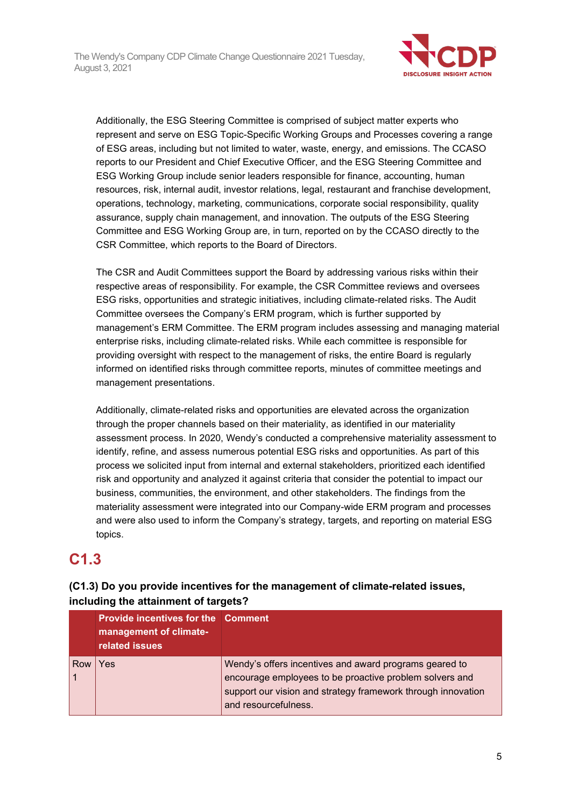

Additionally, the ESG Steering Committee is comprised of subject matter experts who represent and serve on ESG Topic-Specific Working Groups and Processes covering a range of ESG areas, including but not limited to water, waste, energy, and emissions. The CCASO reports to our President and Chief Executive Officer, and the ESG Steering Committee and ESG Working Group include senior leaders responsible for finance, accounting, human resources, risk, internal audit, investor relations, legal, restaurant and franchise development, operations, technology, marketing, communications, corporate social responsibility, quality assurance, supply chain management, and innovation. The outputs of the ESG Steering Committee and ESG Working Group are, in turn, reported on by the CCASO directly to the CSR Committee, which reports to the Board of Directors.

The CSR and Audit Committees support the Board by addressing various risks within their respective areas of responsibility. For example, the CSR Committee reviews and oversees ESG risks, opportunities and strategic initiatives, including climate-related risks. The Audit Committee oversees the Company's ERM program, which is further supported by management's ERM Committee. The ERM program includes assessing and managing material enterprise risks, including climate-related risks. While each committee is responsible for providing oversight with respect to the management of risks, the entire Board is regularly informed on identified risks through committee reports, minutes of committee meetings and management presentations.

Additionally, climate-related risks and opportunities are elevated across the organization through the proper channels based on their materiality, as identified in our materiality assessment process. In 2020, Wendy's conducted a comprehensive materiality assessment to identify, refine, and assess numerous potential ESG risks and opportunities. As part of this process we solicited input from internal and external stakeholders, prioritized each identified risk and opportunity and analyzed it against criteria that consider the potential to impact our business, communities, the environment, and other stakeholders. The findings from the materiality assessment were integrated into our Company-wide ERM program and processes and were also used to inform the Company's strategy, targets, and reporting on material ESG topics.

## **C1.3**

|     | <b>Provide incentives for the Comment</b><br>management of climate-<br>related issues |                                                                                                                                                                                                           |  |
|-----|---------------------------------------------------------------------------------------|-----------------------------------------------------------------------------------------------------------------------------------------------------------------------------------------------------------|--|
| Row | Yes                                                                                   | Wendy's offers incentives and award programs geared to<br>encourage employees to be proactive problem solvers and<br>support our vision and strategy framework through innovation<br>and resourcefulness. |  |

### **(C1.3) Do you provide incentives for the management of climate-related issues, including the attainment of targets?**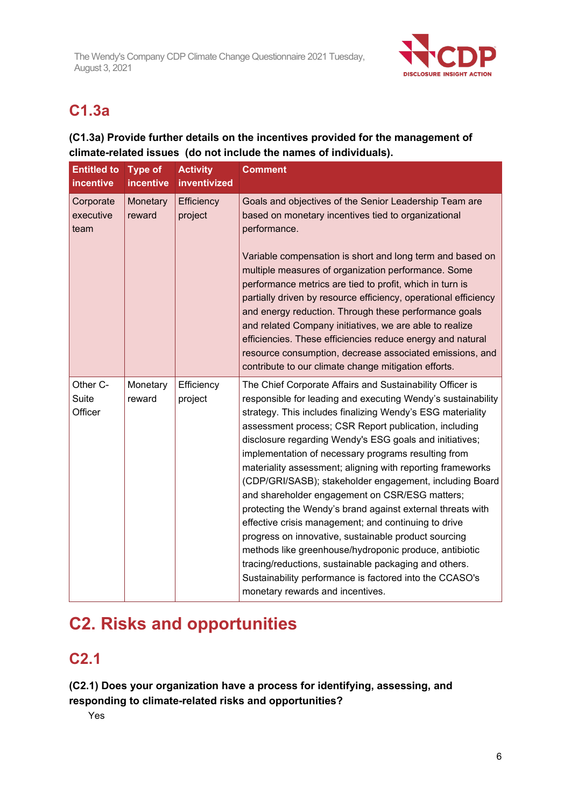

## **C1.3a**

### **(C1.3a) Provide further details on the incentives provided for the management of climate-related issues (do not include the names of individuals).**

| <b>Entitled to</b><br><b>incentive</b> | <b>Type of</b><br>incentive | <b>Activity</b><br>inventivized | <b>Comment</b>                                                                                                                                                                                                                                                                                                                                                                                                                                                                                                                                                                                                                                                                                                                                                                                                                                                                                                                                |
|----------------------------------------|-----------------------------|---------------------------------|-----------------------------------------------------------------------------------------------------------------------------------------------------------------------------------------------------------------------------------------------------------------------------------------------------------------------------------------------------------------------------------------------------------------------------------------------------------------------------------------------------------------------------------------------------------------------------------------------------------------------------------------------------------------------------------------------------------------------------------------------------------------------------------------------------------------------------------------------------------------------------------------------------------------------------------------------|
| Corporate<br>executive<br>team         | Monetary<br>reward          | Efficiency<br>project           | Goals and objectives of the Senior Leadership Team are<br>based on monetary incentives tied to organizational<br>performance.<br>Variable compensation is short and long term and based on<br>multiple measures of organization performance. Some<br>performance metrics are tied to profit, which in turn is<br>partially driven by resource efficiency, operational efficiency<br>and energy reduction. Through these performance goals<br>and related Company initiatives, we are able to realize<br>efficiencies. These efficiencies reduce energy and natural<br>resource consumption, decrease associated emissions, and<br>contribute to our climate change mitigation efforts.                                                                                                                                                                                                                                                        |
| Other C-<br>Suite<br>Officer           | Monetary<br>reward          | Efficiency<br>project           | The Chief Corporate Affairs and Sustainability Officer is<br>responsible for leading and executing Wendy's sustainability<br>strategy. This includes finalizing Wendy's ESG materiality<br>assessment process; CSR Report publication, including<br>disclosure regarding Wendy's ESG goals and initiatives;<br>implementation of necessary programs resulting from<br>materiality assessment; aligning with reporting frameworks<br>(CDP/GRI/SASB); stakeholder engagement, including Board<br>and shareholder engagement on CSR/ESG matters;<br>protecting the Wendy's brand against external threats with<br>effective crisis management; and continuing to drive<br>progress on innovative, sustainable product sourcing<br>methods like greenhouse/hydroponic produce, antibiotic<br>tracing/reductions, sustainable packaging and others.<br>Sustainability performance is factored into the CCASO's<br>monetary rewards and incentives. |

# **C2. Risks and opportunities**

## **C2.1**

**(C2.1) Does your organization have a process for identifying, assessing, and responding to climate-related risks and opportunities?**

Yes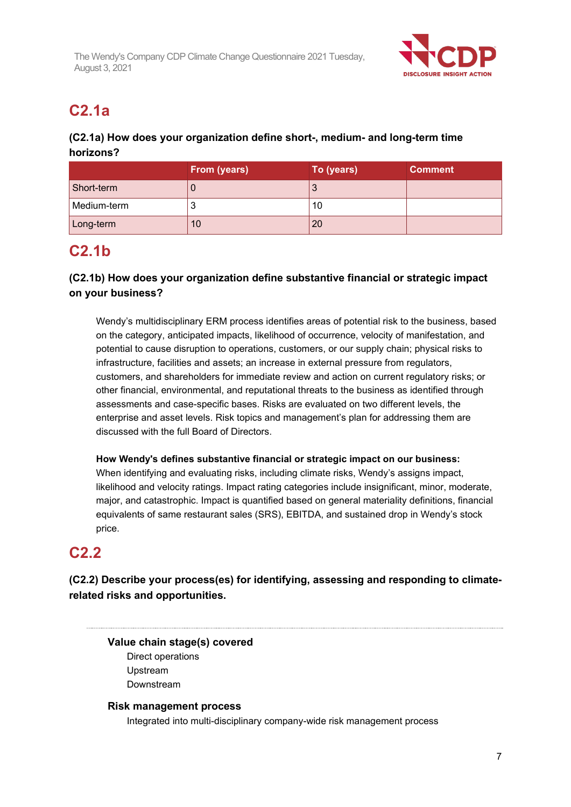

## **C2.1a**

### **(C2.1a) How does your organization define short-, medium- and long-term time horizons?**

|             | From (years) | To (years) | <b>Comment</b> |
|-------------|--------------|------------|----------------|
| Short-term  |              | J          |                |
| Medium-term |              | 10         |                |
| Long-term   | 10           | 20         |                |

## **C2.1b**

### **(C2.1b) How does your organization define substantive financial or strategic impact on your business?**

Wendy's multidisciplinary ERM process identifies areas of potential risk to the business, based on the category, anticipated impacts, likelihood of occurrence, velocity of manifestation, and potential to cause disruption to operations, customers, or our supply chain; physical risks to infrastructure, facilities and assets; an increase in external pressure from regulators, customers, and shareholders for immediate review and action on current regulatory risks; or other financial, environmental, and reputational threats to the business as identified through assessments and case-specific bases. Risks are evaluated on two different levels, the enterprise and asset levels. Risk topics and management's plan for addressing them are discussed with the full Board of Directors.

**How Wendy's defines substantive financial or strategic impact on our business:** When identifying and evaluating risks, including climate risks, Wendy's assigns impact, likelihood and velocity ratings. Impact rating categories include insignificant, minor, moderate, major, and catastrophic. Impact is quantified based on general materiality definitions, financial equivalents of same restaurant sales (SRS), EBITDA, and sustained drop in Wendy's stock price.

## **C2.2**

**(C2.2) Describe your process(es) for identifying, assessing and responding to climaterelated risks and opportunities.**

### **Value chain stage(s) covered**

Direct operations Upstream Downstream

### **Risk management process**

Integrated into multi-disciplinary company-wide risk management process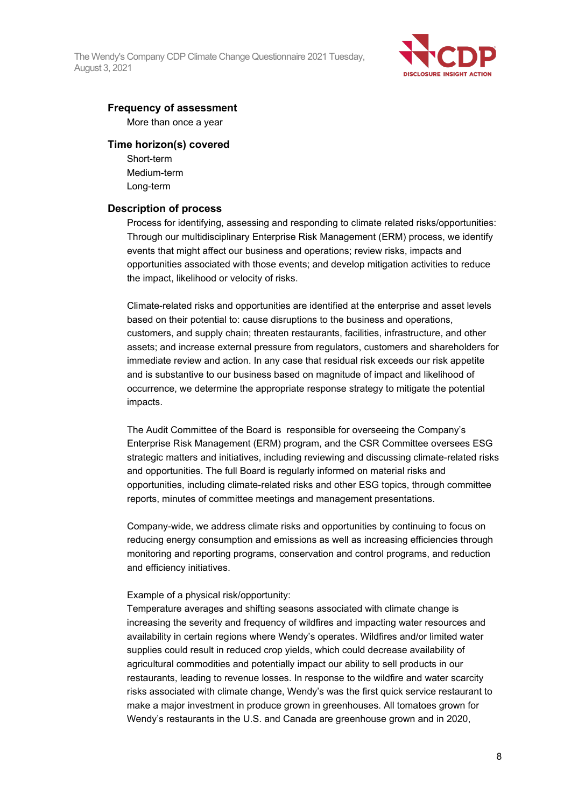

#### **Frequency of assessment**

More than once a year

#### **Time horizon(s) covered**

Short-term Medium-term Long-term

#### **Description of process**

Process for identifying, assessing and responding to climate related risks/opportunities: Through our multidisciplinary Enterprise Risk Management (ERM) process, we identify events that might affect our business and operations; review risks, impacts and opportunities associated with those events; and develop mitigation activities to reduce the impact, likelihood or velocity of risks.

Climate-related risks and opportunities are identified at the enterprise and asset levels based on their potential to: cause disruptions to the business and operations, customers, and supply chain; threaten restaurants, facilities, infrastructure, and other assets; and increase external pressure from regulators, customers and shareholders for immediate review and action. In any case that residual risk exceeds our risk appetite and is substantive to our business based on magnitude of impact and likelihood of occurrence, we determine the appropriate response strategy to mitigate the potential impacts.

The Audit Committee of the Board is responsible for overseeing the Company's Enterprise Risk Management (ERM) program, and the CSR Committee oversees ESG strategic matters and initiatives, including reviewing and discussing climate-related risks and opportunities. The full Board is regularly informed on material risks and opportunities, including climate-related risks and other ESG topics, through committee reports, minutes of committee meetings and management presentations.

Company-wide, we address climate risks and opportunities by continuing to focus on reducing energy consumption and emissions as well as increasing efficiencies through monitoring and reporting programs, conservation and control programs, and reduction and efficiency initiatives.

#### Example of a physical risk/opportunity:

Temperature averages and shifting seasons associated with climate change is increasing the severity and frequency of wildfires and impacting water resources and availability in certain regions where Wendy's operates. Wildfires and/or limited water supplies could result in reduced crop yields, which could decrease availability of agricultural commodities and potentially impact our ability to sell products in our restaurants, leading to revenue losses. In response to the wildfire and water scarcity risks associated with climate change, Wendy's was the first quick service restaurant to make a major investment in produce grown in greenhouses. All tomatoes grown for Wendy's restaurants in the U.S. and Canada are greenhouse grown and in 2020,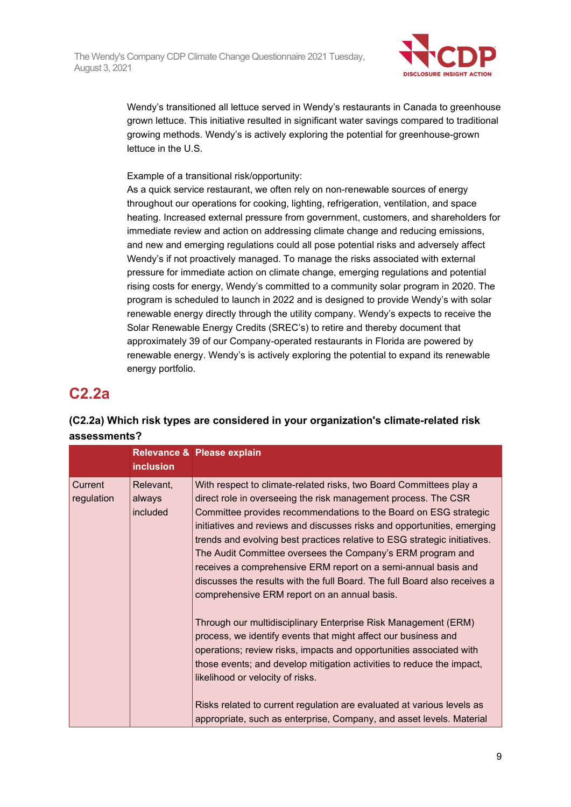

Wendy's transitioned all lettuce served in Wendy's restaurants in Canada to greenhouse grown lettuce. This initiative resulted in significant water savings compared to traditional growing methods. Wendy's is actively exploring the potential for greenhouse-grown lettuce in the U.S.

Example of a transitional risk/opportunity:

As a quick service restaurant, we often rely on non-renewable sources of energy throughout our operations for cooking, lighting, refrigeration, ventilation, and space heating. Increased external pressure from government, customers, and shareholders for immediate review and action on addressing climate change and reducing emissions, and new and emerging regulations could all pose potential risks and adversely affect Wendy's if not proactively managed. To manage the risks associated with external pressure for immediate action on climate change, emerging regulations and potential rising costs for energy, Wendy's committed to a community solar program in 2020. The program is scheduled to launch in 2022 and is designed to provide Wendy's with solar renewable energy directly through the utility company. Wendy's expects to receive the Solar Renewable Energy Credits (SREC's) to retire and thereby document that approximately 39 of our Company-operated restaurants in Florida are powered by renewable energy. Wendy's is actively exploring the potential to expand its renewable energy portfolio.

## **C2.2a**

|                       |                                 | <b>inclusion</b>                                                                                                                                                                                                                                                                                                                                                                                                                                                                                                                                                                                                              | Relevance & Please explain                                                                                                                                                                                                                                                                                                                                                                                                                                             |
|-----------------------|---------------------------------|-------------------------------------------------------------------------------------------------------------------------------------------------------------------------------------------------------------------------------------------------------------------------------------------------------------------------------------------------------------------------------------------------------------------------------------------------------------------------------------------------------------------------------------------------------------------------------------------------------------------------------|------------------------------------------------------------------------------------------------------------------------------------------------------------------------------------------------------------------------------------------------------------------------------------------------------------------------------------------------------------------------------------------------------------------------------------------------------------------------|
| Current<br>regulation | Relevant,<br>always<br>included | With respect to climate-related risks, two Board Committees play a<br>direct role in overseeing the risk management process. The CSR<br>Committee provides recommendations to the Board on ESG strategic<br>initiatives and reviews and discusses risks and opportunities, emerging<br>trends and evolving best practices relative to ESG strategic initiatives.<br>The Audit Committee oversees the Company's ERM program and<br>receives a comprehensive ERM report on a semi-annual basis and<br>discusses the results with the full Board. The full Board also receives a<br>comprehensive ERM report on an annual basis. |                                                                                                                                                                                                                                                                                                                                                                                                                                                                        |
|                       |                                 |                                                                                                                                                                                                                                                                                                                                                                                                                                                                                                                                                                                                                               | Through our multidisciplinary Enterprise Risk Management (ERM)<br>process, we identify events that might affect our business and<br>operations; review risks, impacts and opportunities associated with<br>those events; and develop mitigation activities to reduce the impact,<br>likelihood or velocity of risks.<br>Risks related to current regulation are evaluated at various levels as<br>appropriate, such as enterprise, Company, and asset levels. Material |

### **(C2.2a) Which risk types are considered in your organization's climate-related risk assessments?**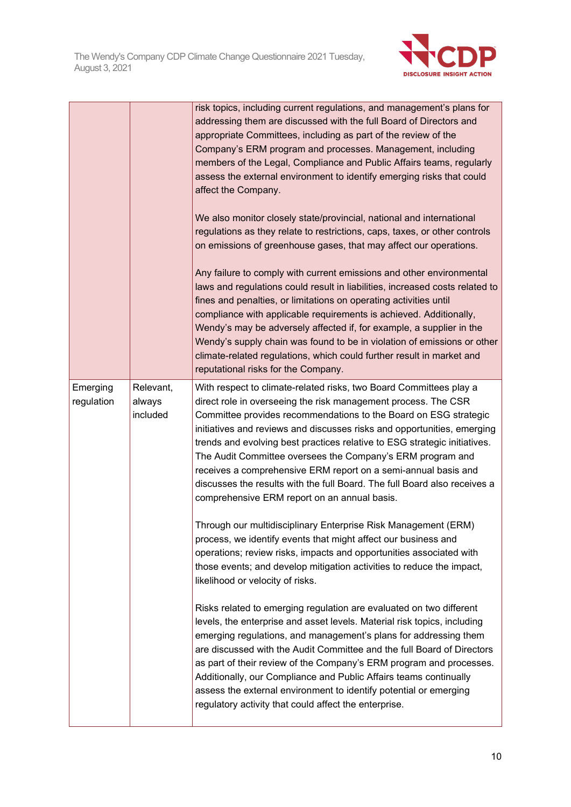

|                        |                                 | risk topics, including current regulations, and management's plans for<br>addressing them are discussed with the full Board of Directors and<br>appropriate Committees, including as part of the review of the<br>Company's ERM program and processes. Management, including<br>members of the Legal, Compliance and Public Affairs teams, regularly<br>assess the external environment to identify emerging risks that could<br>affect the Company.<br>We also monitor closely state/provincial, national and international<br>regulations as they relate to restrictions, caps, taxes, or other controls<br>on emissions of greenhouse gases, that may affect our operations.<br>Any failure to comply with current emissions and other environmental<br>laws and regulations could result in liabilities, increased costs related to<br>fines and penalties, or limitations on operating activities until<br>compliance with applicable requirements is achieved. Additionally,<br>Wendy's may be adversely affected if, for example, a supplier in the<br>Wendy's supply chain was found to be in violation of emissions or other<br>climate-related regulations, which could further result in market and<br>reputational risks for the Company. |
|------------------------|---------------------------------|-------------------------------------------------------------------------------------------------------------------------------------------------------------------------------------------------------------------------------------------------------------------------------------------------------------------------------------------------------------------------------------------------------------------------------------------------------------------------------------------------------------------------------------------------------------------------------------------------------------------------------------------------------------------------------------------------------------------------------------------------------------------------------------------------------------------------------------------------------------------------------------------------------------------------------------------------------------------------------------------------------------------------------------------------------------------------------------------------------------------------------------------------------------------------------------------------------------------------------------------------------|
| Emerging<br>regulation | Relevant,<br>always<br>included | With respect to climate-related risks, two Board Committees play a<br>direct role in overseeing the risk management process. The CSR<br>Committee provides recommendations to the Board on ESG strategic<br>initiatives and reviews and discusses risks and opportunities, emerging<br>trends and evolving best practices relative to ESG strategic initiatives.<br>The Audit Committee oversees the Company's ERM program and<br>receives a comprehensive ERM report on a semi-annual basis and<br>discusses the results with the full Board. The full Board also receives a<br>comprehensive ERM report on an annual basis.                                                                                                                                                                                                                                                                                                                                                                                                                                                                                                                                                                                                                         |
|                        |                                 | Through our multidisciplinary Enterprise Risk Management (ERM)<br>process, we identify events that might affect our business and<br>operations; review risks, impacts and opportunities associated with<br>those events; and develop mitigation activities to reduce the impact,<br>likelihood or velocity of risks.                                                                                                                                                                                                                                                                                                                                                                                                                                                                                                                                                                                                                                                                                                                                                                                                                                                                                                                                  |
|                        |                                 | Risks related to emerging regulation are evaluated on two different<br>levels, the enterprise and asset levels. Material risk topics, including<br>emerging regulations, and management's plans for addressing them<br>are discussed with the Audit Committee and the full Board of Directors<br>as part of their review of the Company's ERM program and processes.<br>Additionally, our Compliance and Public Affairs teams continually<br>assess the external environment to identify potential or emerging<br>regulatory activity that could affect the enterprise.                                                                                                                                                                                                                                                                                                                                                                                                                                                                                                                                                                                                                                                                               |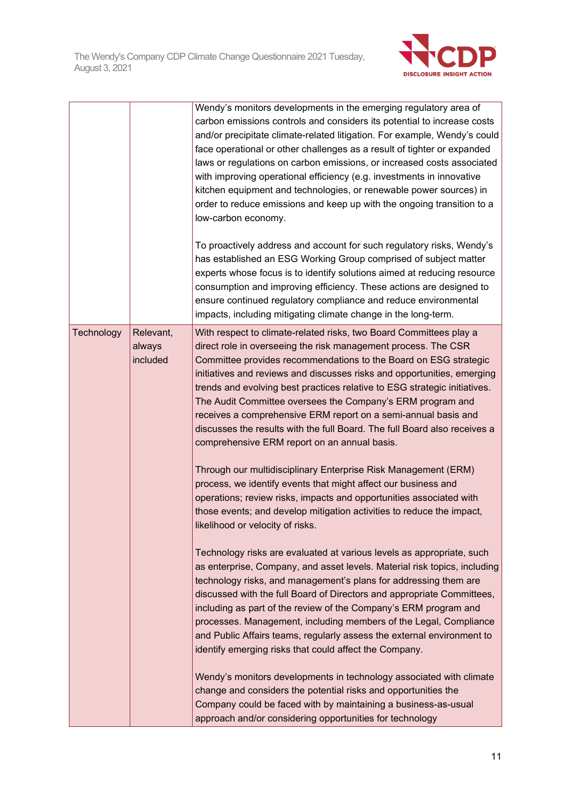

|            |                                 | Wendy's monitors developments in the emerging regulatory area of<br>carbon emissions controls and considers its potential to increase costs<br>and/or precipitate climate-related litigation. For example, Wendy's could<br>face operational or other challenges as a result of tighter or expanded<br>laws or regulations on carbon emissions, or increased costs associated<br>with improving operational efficiency (e.g. investments in innovative<br>kitchen equipment and technologies, or renewable power sources) in<br>order to reduce emissions and keep up with the ongoing transition to a<br>low-carbon economy.<br>To proactively address and account for such regulatory risks, Wendy's<br>has established an ESG Working Group comprised of subject matter<br>experts whose focus is to identify solutions aimed at reducing resource<br>consumption and improving efficiency. These actions are designed to<br>ensure continued regulatory compliance and reduce environmental<br>impacts, including mitigating climate change in the long-term. |
|------------|---------------------------------|-------------------------------------------------------------------------------------------------------------------------------------------------------------------------------------------------------------------------------------------------------------------------------------------------------------------------------------------------------------------------------------------------------------------------------------------------------------------------------------------------------------------------------------------------------------------------------------------------------------------------------------------------------------------------------------------------------------------------------------------------------------------------------------------------------------------------------------------------------------------------------------------------------------------------------------------------------------------------------------------------------------------------------------------------------------------|
| Technology | Relevant,<br>always<br>included | With respect to climate-related risks, two Board Committees play a<br>direct role in overseeing the risk management process. The CSR<br>Committee provides recommendations to the Board on ESG strategic<br>initiatives and reviews and discusses risks and opportunities, emerging<br>trends and evolving best practices relative to ESG strategic initiatives.<br>The Audit Committee oversees the Company's ERM program and<br>receives a comprehensive ERM report on a semi-annual basis and<br>discusses the results with the full Board. The full Board also receives a<br>comprehensive ERM report on an annual basis.<br>Through our multidisciplinary Enterprise Risk Management (ERM)<br>process, we identify events that might affect our business and<br>operations; review risks, impacts and opportunities associated with<br>those events; and develop mitigation activities to reduce the impact,<br>likelihood or velocity of risks.                                                                                                             |
|            |                                 | Technology risks are evaluated at various levels as appropriate, such<br>as enterprise, Company, and asset levels. Material risk topics, including<br>technology risks, and management's plans for addressing them are<br>discussed with the full Board of Directors and appropriate Committees,<br>including as part of the review of the Company's ERM program and<br>processes. Management, including members of the Legal, Compliance<br>and Public Affairs teams, regularly assess the external environment to<br>identify emerging risks that could affect the Company.<br>Wendy's monitors developments in technology associated with climate<br>change and considers the potential risks and opportunities the<br>Company could be faced with by maintaining a business-as-usual<br>approach and/or considering opportunities for technology                                                                                                                                                                                                              |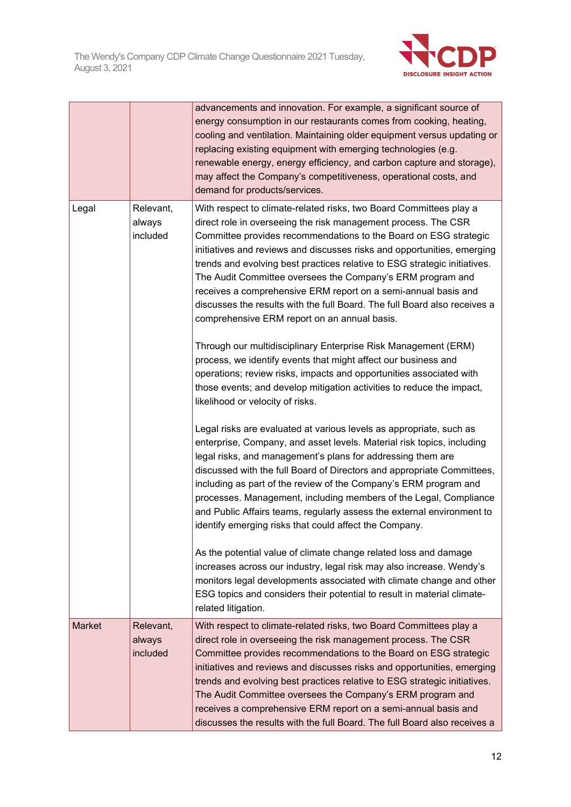

|               |                                 | advancements and innovation. For example, a significant source of<br>energy consumption in our restaurants comes from cooking, heating,<br>cooling and ventilation. Maintaining older equipment versus updating or<br>replacing existing equipment with emerging technologies (e.g.<br>renewable energy, energy efficiency, and carbon capture and storage),<br>may affect the Company's competitiveness, operational costs, and<br>demand for products/services.                                                                                                                                                             |
|---------------|---------------------------------|-------------------------------------------------------------------------------------------------------------------------------------------------------------------------------------------------------------------------------------------------------------------------------------------------------------------------------------------------------------------------------------------------------------------------------------------------------------------------------------------------------------------------------------------------------------------------------------------------------------------------------|
| Legal         | Relevant,<br>always<br>included | With respect to climate-related risks, two Board Committees play a<br>direct role in overseeing the risk management process. The CSR<br>Committee provides recommendations to the Board on ESG strategic<br>initiatives and reviews and discusses risks and opportunities, emerging<br>trends and evolving best practices relative to ESG strategic initiatives.<br>The Audit Committee oversees the Company's ERM program and<br>receives a comprehensive ERM report on a semi-annual basis and<br>discusses the results with the full Board. The full Board also receives a<br>comprehensive ERM report on an annual basis. |
|               |                                 | Through our multidisciplinary Enterprise Risk Management (ERM)<br>process, we identify events that might affect our business and<br>operations; review risks, impacts and opportunities associated with<br>those events; and develop mitigation activities to reduce the impact,<br>likelihood or velocity of risks.                                                                                                                                                                                                                                                                                                          |
|               |                                 | Legal risks are evaluated at various levels as appropriate, such as<br>enterprise, Company, and asset levels. Material risk topics, including<br>legal risks, and management's plans for addressing them are<br>discussed with the full Board of Directors and appropriate Committees,<br>including as part of the review of the Company's ERM program and<br>processes. Management, including members of the Legal, Compliance<br>and Public Affairs teams, regularly assess the external environment to<br>identify emerging risks that could affect the Company.                                                           |
|               |                                 | As the potential value of climate change related loss and damage<br>increases across our industry, legal risk may also increase. Wendy's<br>monitors legal developments associated with climate change and other<br>ESG topics and considers their potential to result in material climate-<br>related litigation.                                                                                                                                                                                                                                                                                                            |
| <b>Market</b> | Relevant,<br>always<br>included | With respect to climate-related risks, two Board Committees play a<br>direct role in overseeing the risk management process. The CSR<br>Committee provides recommendations to the Board on ESG strategic<br>initiatives and reviews and discusses risks and opportunities, emerging<br>trends and evolving best practices relative to ESG strategic initiatives.<br>The Audit Committee oversees the Company's ERM program and<br>receives a comprehensive ERM report on a semi-annual basis and<br>discusses the results with the full Board. The full Board also receives a                                                 |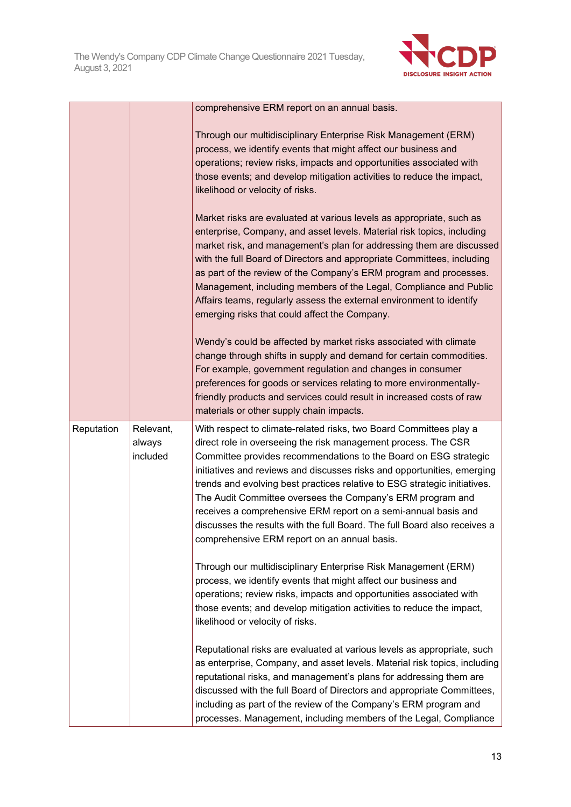

|            |                                 | comprehensive ERM report on an annual basis.                                                                                                                                                                                                                                                                                                                                                                                                                                                                                                                                                                                  |
|------------|---------------------------------|-------------------------------------------------------------------------------------------------------------------------------------------------------------------------------------------------------------------------------------------------------------------------------------------------------------------------------------------------------------------------------------------------------------------------------------------------------------------------------------------------------------------------------------------------------------------------------------------------------------------------------|
|            |                                 | Through our multidisciplinary Enterprise Risk Management (ERM)<br>process, we identify events that might affect our business and<br>operations; review risks, impacts and opportunities associated with<br>those events; and develop mitigation activities to reduce the impact,<br>likelihood or velocity of risks.                                                                                                                                                                                                                                                                                                          |
|            |                                 | Market risks are evaluated at various levels as appropriate, such as<br>enterprise, Company, and asset levels. Material risk topics, including<br>market risk, and management's plan for addressing them are discussed<br>with the full Board of Directors and appropriate Committees, including<br>as part of the review of the Company's ERM program and processes.<br>Management, including members of the Legal, Compliance and Public<br>Affairs teams, regularly assess the external environment to identify<br>emerging risks that could affect the Company.                                                           |
|            |                                 | Wendy's could be affected by market risks associated with climate<br>change through shifts in supply and demand for certain commodities.<br>For example, government regulation and changes in consumer<br>preferences for goods or services relating to more environmentally-<br>friendly products and services could result in increased costs of raw<br>materials or other supply chain impacts.                                                                                                                                                                                                                            |
| Reputation | Relevant,<br>always<br>included | With respect to climate-related risks, two Board Committees play a<br>direct role in overseeing the risk management process. The CSR<br>Committee provides recommendations to the Board on ESG strategic<br>initiatives and reviews and discusses risks and opportunities, emerging<br>trends and evolving best practices relative to ESG strategic initiatives.<br>The Audit Committee oversees the Company's ERM program and<br>receives a comprehensive ERM report on a semi-annual basis and<br>discusses the results with the full Board. The full Board also receives a<br>comprehensive ERM report on an annual basis. |
|            |                                 | Through our multidisciplinary Enterprise Risk Management (ERM)<br>process, we identify events that might affect our business and<br>operations; review risks, impacts and opportunities associated with<br>those events; and develop mitigation activities to reduce the impact,<br>likelihood or velocity of risks.                                                                                                                                                                                                                                                                                                          |
|            |                                 | Reputational risks are evaluated at various levels as appropriate, such<br>as enterprise, Company, and asset levels. Material risk topics, including<br>reputational risks, and management's plans for addressing them are<br>discussed with the full Board of Directors and appropriate Committees,<br>including as part of the review of the Company's ERM program and<br>processes. Management, including members of the Legal, Compliance                                                                                                                                                                                 |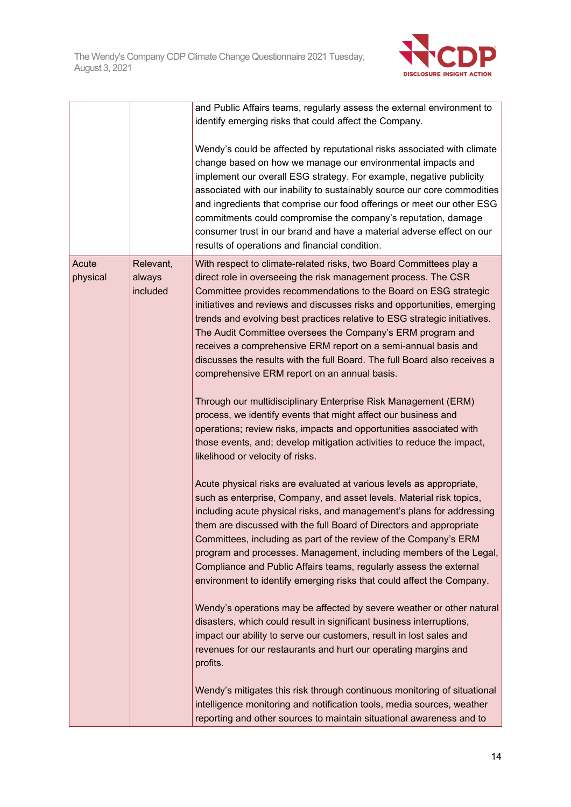

|                   |                                 | and Public Affairs teams, regularly assess the external environment to                                                                                                                                                                                                                                                                                                                                                                                                                                                                                                                                                        |
|-------------------|---------------------------------|-------------------------------------------------------------------------------------------------------------------------------------------------------------------------------------------------------------------------------------------------------------------------------------------------------------------------------------------------------------------------------------------------------------------------------------------------------------------------------------------------------------------------------------------------------------------------------------------------------------------------------|
|                   |                                 | identify emerging risks that could affect the Company.                                                                                                                                                                                                                                                                                                                                                                                                                                                                                                                                                                        |
|                   |                                 | Wendy's could be affected by reputational risks associated with climate<br>change based on how we manage our environmental impacts and<br>implement our overall ESG strategy. For example, negative publicity<br>associated with our inability to sustainably source our core commodities<br>and ingredients that comprise our food offerings or meet our other ESG<br>commitments could compromise the company's reputation, damage<br>consumer trust in our brand and have a material adverse effect on our<br>results of operations and financial condition.                                                               |
| Acute<br>physical | Relevant,<br>always<br>included | With respect to climate-related risks, two Board Committees play a<br>direct role in overseeing the risk management process. The CSR<br>Committee provides recommendations to the Board on ESG strategic<br>initiatives and reviews and discusses risks and opportunities, emerging<br>trends and evolving best practices relative to ESG strategic initiatives.<br>The Audit Committee oversees the Company's ERM program and<br>receives a comprehensive ERM report on a semi-annual basis and<br>discusses the results with the full Board. The full Board also receives a<br>comprehensive ERM report on an annual basis. |
|                   |                                 | Through our multidisciplinary Enterprise Risk Management (ERM)<br>process, we identify events that might affect our business and<br>operations; review risks, impacts and opportunities associated with<br>those events, and; develop mitigation activities to reduce the impact,<br>likelihood or velocity of risks.                                                                                                                                                                                                                                                                                                         |
|                   |                                 | Acute physical risks are evaluated at various levels as appropriate,<br>such as enterprise, Company, and asset levels. Material risk topics,<br>including acute physical risks, and management's plans for addressing<br>them are discussed with the full Board of Directors and appropriate<br>Committees, including as part of the review of the Company's ERM<br>program and processes. Management, including members of the Legal,<br>Compliance and Public Affairs teams, regularly assess the external<br>environment to identify emerging risks that could affect the Company.                                         |
|                   |                                 | Wendy's operations may be affected by severe weather or other natural<br>disasters, which could result in significant business interruptions,<br>impact our ability to serve our customers, result in lost sales and<br>revenues for our restaurants and hurt our operating margins and<br>profits.                                                                                                                                                                                                                                                                                                                           |
|                   |                                 | Wendy's mitigates this risk through continuous monitoring of situational<br>intelligence monitoring and notification tools, media sources, weather<br>reporting and other sources to maintain situational awareness and to                                                                                                                                                                                                                                                                                                                                                                                                    |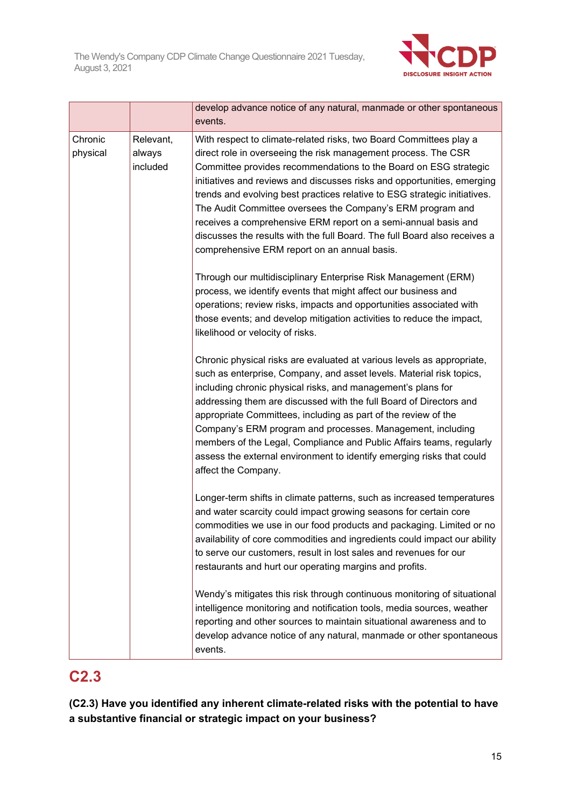

|                     |                                 | develop advance notice of any natural, manmade or other spontaneous<br>events.                                                                                                                                                                                                                                                                                                                                                                                                                                                                                                                                                |
|---------------------|---------------------------------|-------------------------------------------------------------------------------------------------------------------------------------------------------------------------------------------------------------------------------------------------------------------------------------------------------------------------------------------------------------------------------------------------------------------------------------------------------------------------------------------------------------------------------------------------------------------------------------------------------------------------------|
| Chronic<br>physical | Relevant,<br>always<br>included | With respect to climate-related risks, two Board Committees play a<br>direct role in overseeing the risk management process. The CSR<br>Committee provides recommendations to the Board on ESG strategic<br>initiatives and reviews and discusses risks and opportunities, emerging<br>trends and evolving best practices relative to ESG strategic initiatives.<br>The Audit Committee oversees the Company's ERM program and<br>receives a comprehensive ERM report on a semi-annual basis and<br>discusses the results with the full Board. The full Board also receives a<br>comprehensive ERM report on an annual basis. |
|                     |                                 | Through our multidisciplinary Enterprise Risk Management (ERM)<br>process, we identify events that might affect our business and<br>operations; review risks, impacts and opportunities associated with<br>those events; and develop mitigation activities to reduce the impact,<br>likelihood or velocity of risks.                                                                                                                                                                                                                                                                                                          |
|                     |                                 | Chronic physical risks are evaluated at various levels as appropriate,<br>such as enterprise, Company, and asset levels. Material risk topics,<br>including chronic physical risks, and management's plans for<br>addressing them are discussed with the full Board of Directors and<br>appropriate Committees, including as part of the review of the<br>Company's ERM program and processes. Management, including<br>members of the Legal, Compliance and Public Affairs teams, regularly<br>assess the external environment to identify emerging risks that could<br>affect the Company.                                  |
|                     |                                 | Longer-term shifts in climate patterns, such as increased temperatures<br>and water scarcity could impact growing seasons for certain core<br>commodities we use in our food products and packaging. Limited or no<br>availability of core commodities and ingredients could impact our ability<br>to serve our customers, result in lost sales and revenues for our<br>restaurants and hurt our operating margins and profits.                                                                                                                                                                                               |
|                     |                                 | Wendy's mitigates this risk through continuous monitoring of situational<br>intelligence monitoring and notification tools, media sources, weather<br>reporting and other sources to maintain situational awareness and to<br>develop advance notice of any natural, manmade or other spontaneous<br>events.                                                                                                                                                                                                                                                                                                                  |

## **C2.3**

**(C2.3) Have you identified any inherent climate-related risks with the potential to have a substantive financial or strategic impact on your business?**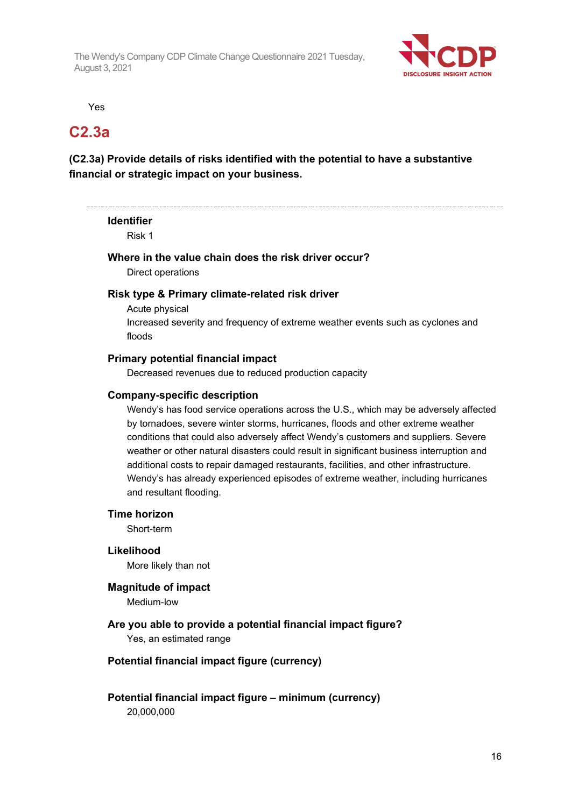

Yes

### **C2.3a**

### **(C2.3a) Provide details of risks identified with the potential to have a substantive financial or strategic impact on your business.**

**Identifier**

Risk 1

## **Where in the value chain does the risk driver occur?**

Direct operations

#### **Risk type & Primary climate-related risk driver**

Acute physical Increased severity and frequency of extreme weather events such as cyclones and floods

#### **Primary potential financial impact**

Decreased revenues due to reduced production capacity

#### **Company-specific description**

Wendy's has food service operations across the U.S., which may be adversely affected by tornadoes, severe winter storms, hurricanes, floods and other extreme weather conditions that could also adversely affect Wendy's customers and suppliers. Severe weather or other natural disasters could result in significant business interruption and additional costs to repair damaged restaurants, facilities, and other infrastructure. Wendy's has already experienced episodes of extreme weather, including hurricanes and resultant flooding.

#### **Time horizon**

Short-term

#### **Likelihood**

More likely than not

#### **Magnitude of impact**

Medium-low

## **Are you able to provide a potential financial impact figure?**

Yes, an estimated range

#### **Potential financial impact figure (currency)**

**Potential financial impact figure – minimum (currency)** 20,000,000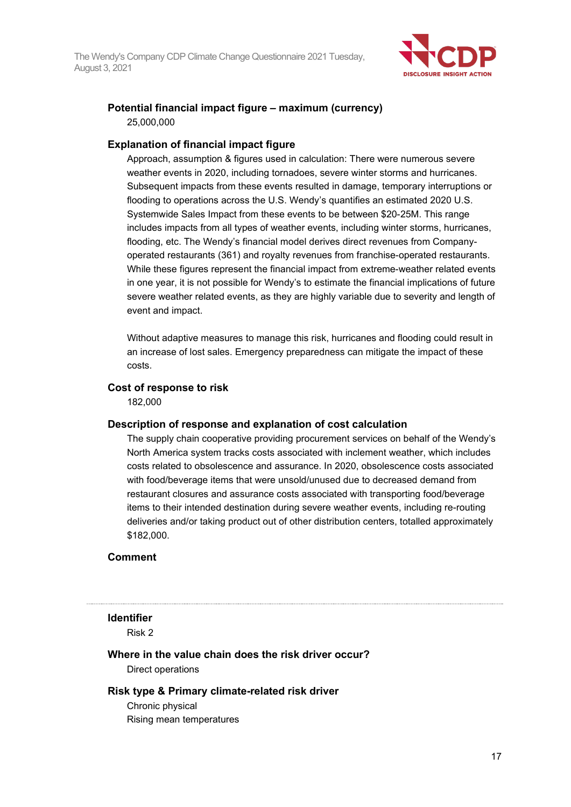

### **Potential financial impact figure – maximum (currency)** 25,000,000

#### **Explanation of financial impact figure**

Approach, assumption & figures used in calculation: There were numerous severe weather events in 2020, including tornadoes, severe winter storms and hurricanes. Subsequent impacts from these events resulted in damage, temporary interruptions or flooding to operations across the U.S. Wendy's quantifies an estimated 2020 U.S. Systemwide Sales Impact from these events to be between \$20-25M. This range includes impacts from all types of weather events, including winter storms, hurricanes, flooding, etc. The Wendy's financial model derives direct revenues from Companyoperated restaurants (361) and royalty revenues from franchise-operated restaurants. While these figures represent the financial impact from extreme-weather related events in one year, it is not possible for Wendy's to estimate the financial implications of future severe weather related events, as they are highly variable due to severity and length of event and impact.

Without adaptive measures to manage this risk, hurricanes and flooding could result in an increase of lost sales. Emergency preparedness can mitigate the impact of these costs.

#### **Cost of response to risk**

182,000

#### **Description of response and explanation of cost calculation**

The supply chain cooperative providing procurement services on behalf of the Wendy's North America system tracks costs associated with inclement weather, which includes costs related to obsolescence and assurance. In 2020, obsolescence costs associated with food/beverage items that were unsold/unused due to decreased demand from restaurant closures and assurance costs associated with transporting food/beverage items to their intended destination during severe weather events, including re-routing deliveries and/or taking product out of other distribution centers, totalled approximately \$182,000.

#### **Comment**

#### **Identifier**

Risk 2

### **Where in the value chain does the risk driver occur?**

Direct operations

#### **Risk type & Primary climate-related risk driver**

Chronic physical Rising mean temperatures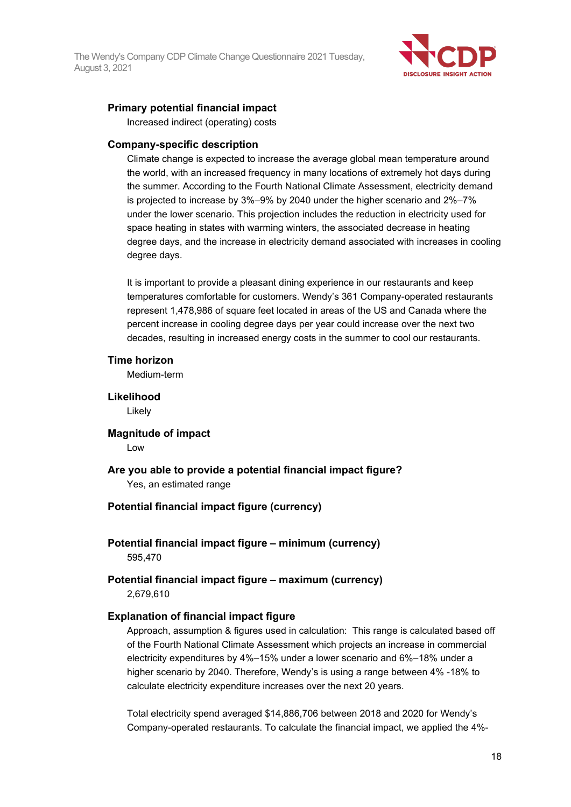

### **Primary potential financial impact**

Increased indirect (operating) costs

#### **Company-specific description**

Climate change is expected to increase the average global mean temperature around the world, with an increased frequency in many locations of extremely hot days during the summer. According to the Fourth National Climate Assessment, electricity demand is projected to increase by 3%–9% by 2040 under the higher scenario and 2%–7% under the lower scenario. This projection includes the reduction in electricity used for space heating in states with warming winters, the associated decrease in heating degree days, and the increase in electricity demand associated with increases in cooling degree days.

It is important to provide a pleasant dining experience in our restaurants and keep temperatures comfortable for customers. Wendy's 361 Company-operated restaurants represent 1,478,986 of square feet located in areas of the US and Canada where the percent increase in cooling degree days per year could increase over the next two decades, resulting in increased energy costs in the summer to cool our restaurants.

#### **Time horizon**

Medium-term

**Likelihood**

Likely

**Magnitude of impact** Low

#### **Are you able to provide a potential financial impact figure?**

Yes, an estimated range

#### **Potential financial impact figure (currency)**

**Potential financial impact figure – minimum (currency)** 595,470

**Potential financial impact figure – maximum (currency)** 2,679,610

#### **Explanation of financial impact figure**

Approach, assumption & figures used in calculation: This range is calculated based off of the Fourth National Climate Assessment which projects an increase in commercial electricity expenditures by 4%–15% under a lower scenario and 6%–18% under a higher scenario by 2040. Therefore, Wendy's is using a range between 4% -18% to calculate electricity expenditure increases over the next 20 years.

Total electricity spend averaged \$14,886,706 between 2018 and 2020 for Wendy's Company-operated restaurants. To calculate the financial impact, we applied the 4%-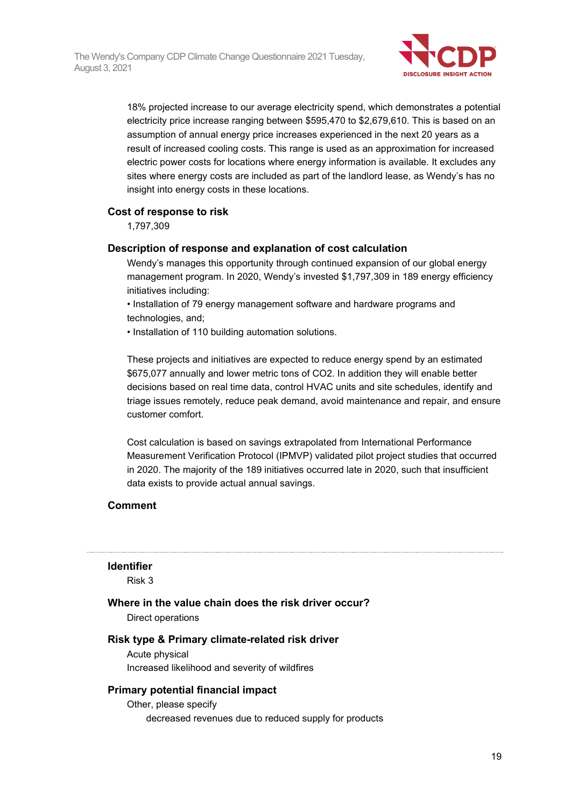

18% projected increase to our average electricity spend, which demonstrates a potential electricity price increase ranging between \$595,470 to \$2,679,610. This is based on an assumption of annual energy price increases experienced in the next 20 years as a result of increased cooling costs. This range is used as an approximation for increased electric power costs for locations where energy information is available. It excludes any sites where energy costs are included as part of the landlord lease, as Wendy's has no insight into energy costs in these locations.

#### **Cost of response to risk**

1,797,309

#### **Description of response and explanation of cost calculation**

Wendy's manages this opportunity through continued expansion of our global energy management program. In 2020, Wendy's invested \$1,797,309 in 189 energy efficiency initiatives including:

• Installation of 79 energy management software and hardware programs and technologies, and;

• Installation of 110 building automation solutions.

These projects and initiatives are expected to reduce energy spend by an estimated \$675,077 annually and lower metric tons of CO2. In addition they will enable better decisions based on real time data, control HVAC units and site schedules, identify and triage issues remotely, reduce peak demand, avoid maintenance and repair, and ensure customer comfort.

Cost calculation is based on savings extrapolated from International Performance Measurement Verification Protocol (IPMVP) validated pilot project studies that occurred in 2020. The majority of the 189 initiatives occurred late in 2020, such that insufficient data exists to provide actual annual savings.

#### **Comment**

#### **Identifier**

Risk 3

### **Where in the value chain does the risk driver occur?**

Direct operations

#### **Risk type & Primary climate-related risk driver**

Acute physical Increased likelihood and severity of wildfires

#### **Primary potential financial impact**

Other, please specify decreased revenues due to reduced supply for products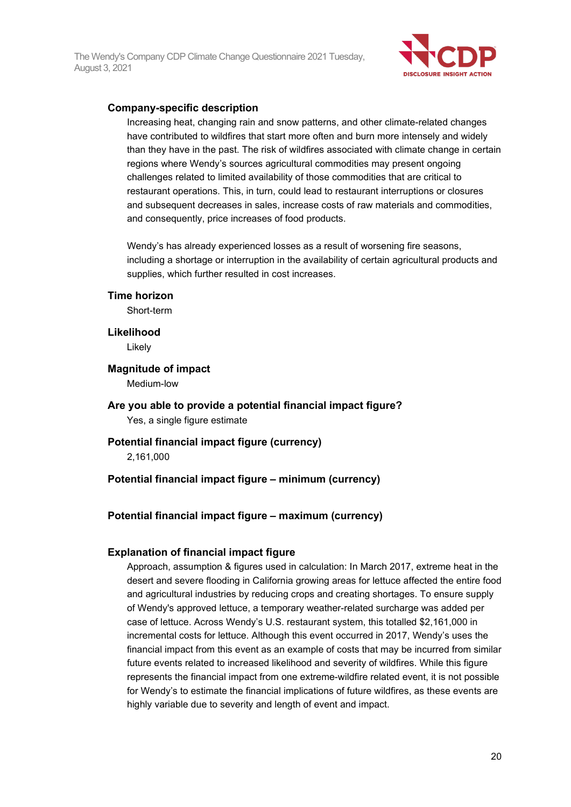

#### **Company-specific description**

Increasing heat, changing rain and snow patterns, and other climate-related changes have contributed to wildfires that start more often and burn more intensely and widely than they have in the past. The risk of wildfires associated with climate change in certain regions where Wendy's sources agricultural commodities may present ongoing challenges related to limited availability of those commodities that are critical to restaurant operations. This, in turn, could lead to restaurant interruptions or closures and subsequent decreases in sales, increase costs of raw materials and commodities, and consequently, price increases of food products.

Wendy's has already experienced losses as a result of worsening fire seasons, including a shortage or interruption in the availability of certain agricultural products and supplies, which further resulted in cost increases.

#### **Time horizon**

Short-term

**Likelihood**

Likely

**Magnitude of impact**

Medium-low

#### **Are you able to provide a potential financial impact figure?**

Yes, a single figure estimate

#### **Potential financial impact figure (currency)**

2,161,000

#### **Potential financial impact figure – minimum (currency)**

#### **Potential financial impact figure – maximum (currency)**

#### **Explanation of financial impact figure**

Approach, assumption & figures used in calculation: In March 2017, extreme heat in the desert and severe flooding in California growing areas for lettuce affected the entire food and agricultural industries by reducing crops and creating shortages. To ensure supply of Wendy's approved lettuce, a temporary weather-related surcharge was added per case of lettuce. Across Wendy's U.S. restaurant system, this totalled \$2,161,000 in incremental costs for lettuce. Although this event occurred in 2017, Wendy's uses the financial impact from this event as an example of costs that may be incurred from similar future events related to increased likelihood and severity of wildfires. While this figure represents the financial impact from one extreme-wildfire related event, it is not possible for Wendy's to estimate the financial implications of future wildfires, as these events are highly variable due to severity and length of event and impact.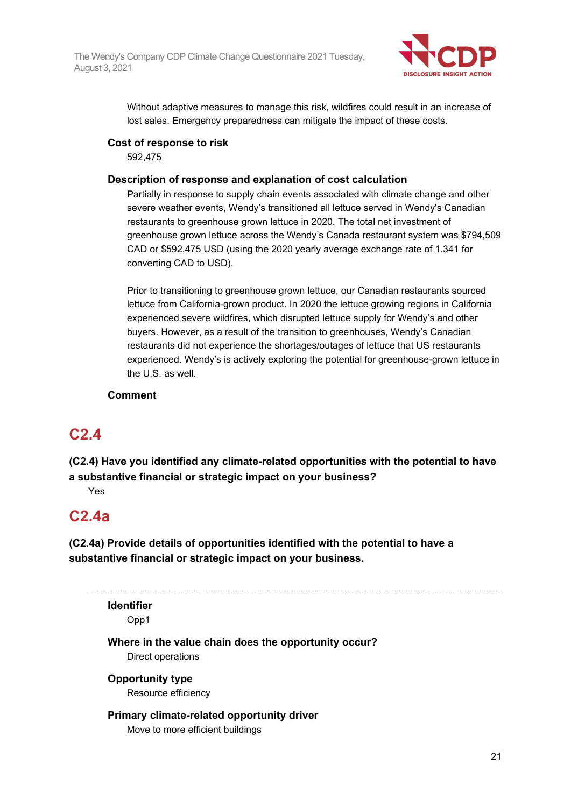

Without adaptive measures to manage this risk, wildfires could result in an increase of lost sales. Emergency preparedness can mitigate the impact of these costs.

#### **Cost of response to risk**

592,475

#### **Description of response and explanation of cost calculation**

Partially in response to supply chain events associated with climate change and other severe weather events, Wendy's transitioned all lettuce served in Wendy's Canadian restaurants to greenhouse grown lettuce in 2020. The total net investment of greenhouse grown lettuce across the Wendy's Canada restaurant system was \$794,509 CAD or \$592,475 USD (using the 2020 yearly average exchange rate of 1.341 for converting CAD to USD).

Prior to transitioning to greenhouse grown lettuce, our Canadian restaurants sourced lettuce from California-grown product. In 2020 the lettuce growing regions in California experienced severe wildfires, which disrupted lettuce supply for Wendy's and other buyers. However, as a result of the transition to greenhouses, Wendy's Canadian restaurants did not experience the shortages/outages of lettuce that US restaurants experienced. Wendy's is actively exploring the potential for greenhouse-grown lettuce in the U.S. as well.

#### **Comment**

## **C2.4**

**(C2.4) Have you identified any climate-related opportunities with the potential to have a substantive financial or strategic impact on your business?**

Yes

## **C2.4a**

**(C2.4a) Provide details of opportunities identified with the potential to have a substantive financial or strategic impact on your business.**

**Identifier** Opp1 **Where in the value chain does the opportunity occur?** Direct operations **Opportunity type** Resource efficiency

#### **Primary climate-related opportunity driver** Move to more efficient buildings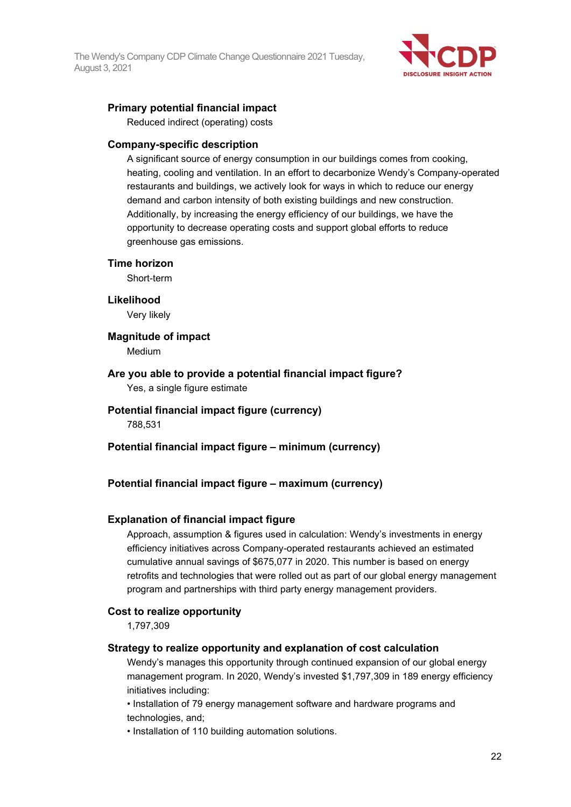

### **Primary potential financial impact**

Reduced indirect (operating) costs

#### **Company-specific description**

A significant source of energy consumption in our buildings comes from cooking, heating, cooling and ventilation. In an effort to decarbonize Wendy's Company-operated restaurants and buildings, we actively look for ways in which to reduce our energy demand and carbon intensity of both existing buildings and new construction. Additionally, by increasing the energy efficiency of our buildings, we have the opportunity to decrease operating costs and support global efforts to reduce greenhouse gas emissions.

#### **Time horizon**

Short-term

#### **Likelihood**

Very likely

#### **Magnitude of impact**

Medium

**Are you able to provide a potential financial impact figure?** Yes, a single figure estimate

#### **Potential financial impact figure (currency)** 788,531

**Potential financial impact figure – minimum (currency)**

### **Potential financial impact figure – maximum (currency)**

#### **Explanation of financial impact figure**

Approach, assumption & figures used in calculation: Wendy's investments in energy efficiency initiatives across Company-operated restaurants achieved an estimated cumulative annual savings of \$675,077 in 2020. This number is based on energy retrofits and technologies that were rolled out as part of our global energy management program and partnerships with third party energy management providers.

#### **Cost to realize opportunity**

1,797,309

#### **Strategy to realize opportunity and explanation of cost calculation**

Wendy's manages this opportunity through continued expansion of our global energy management program. In 2020, Wendy's invested \$1,797,309 in 189 energy efficiency initiatives including:

• Installation of 79 energy management software and hardware programs and technologies, and;

• Installation of 110 building automation solutions.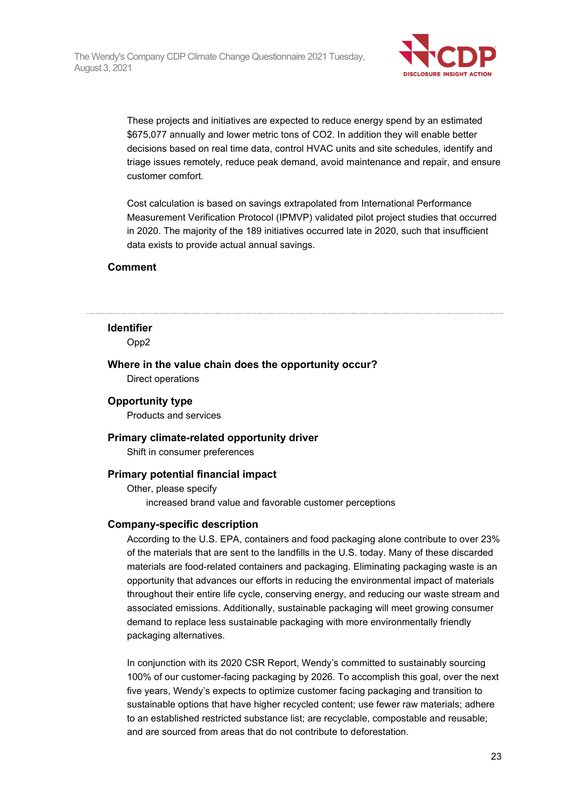

These projects and initiatives are expected to reduce energy spend by an estimated \$675,077 annually and lower metric tons of CO2. In addition they will enable better decisions based on real time data, control HVAC units and site schedules, identify and triage issues remotely, reduce peak demand, avoid maintenance and repair, and ensure customer comfort.

Cost calculation is based on savings extrapolated from International Performance Measurement Verification Protocol (IPMVP) validated pilot project studies that occurred in 2020. The majority of the 189 initiatives occurred late in 2020, such that insufficient data exists to provide actual annual savings.

#### **Comment**

#### **Identifier**

Opp2

**Where in the value chain does the opportunity occur?**

Direct operations

#### **Opportunity type**

Products and services

#### **Primary climate-related opportunity driver**

Shift in consumer preferences

#### **Primary potential financial impact**

Other, please specify increased brand value and favorable customer perceptions

#### **Company-specific description**

According to the U.S. EPA, containers and food packaging alone contribute to over 23% of the materials that are sent to the landfills in the U.S. today. Many of these discarded materials are food-related containers and packaging. Eliminating packaging waste is an opportunity that advances our efforts in reducing the environmental impact of materials throughout their entire life cycle, conserving energy, and reducing our waste stream and associated emissions. Additionally, sustainable packaging will meet growing consumer demand to replace less sustainable packaging with more environmentally friendly packaging alternatives.

In conjunction with its 2020 CSR Report, Wendy's committed to sustainably sourcing 100% of our customer-facing packaging by 2026. To accomplish this goal, over the next five years, Wendy's expects to optimize customer facing packaging and transition to sustainable options that have higher recycled content; use fewer raw materials; adhere to an established restricted substance list; are recyclable, compostable and reusable; and are sourced from areas that do not contribute to deforestation.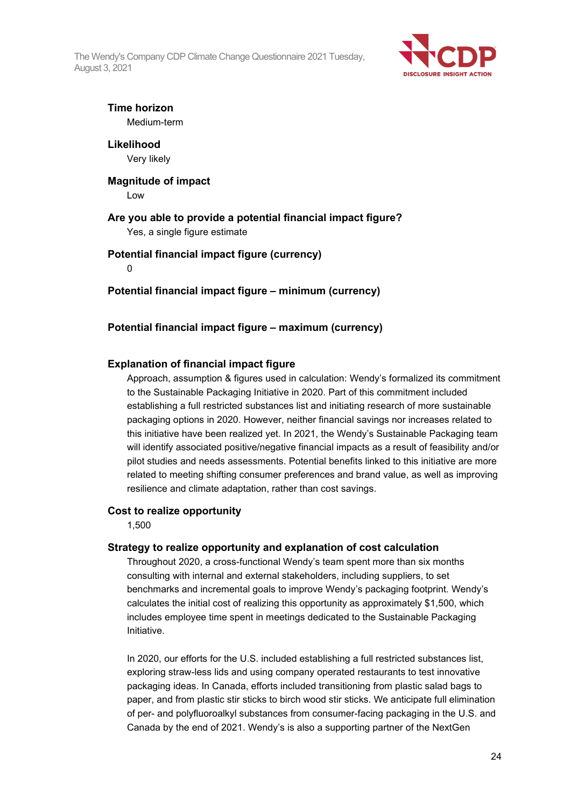

### **Time horizon**

Medium-term

**Likelihood** Very likely

### **Magnitude of impact**

Low

### **Are you able to provide a potential financial impact figure?**

Yes, a single figure estimate

#### **Potential financial impact figure (currency)**

0

**Potential financial impact figure – minimum (currency)**

#### **Potential financial impact figure – maximum (currency)**

#### **Explanation of financial impact figure**

Approach, assumption & figures used in calculation: Wendy's formalized its commitment to the Sustainable Packaging Initiative in 2020. Part of this commitment included establishing a full restricted substances list and initiating research of more sustainable packaging options in 2020. However, neither financial savings nor increases related to this initiative have been realized yet. In 2021, the Wendy's Sustainable Packaging team will identify associated positive/negative financial impacts as a result of feasibility and/or pilot studies and needs assessments. Potential benefits linked to this initiative are more related to meeting shifting consumer preferences and brand value, as well as improving resilience and climate adaptation, rather than cost savings.

#### **Cost to realize opportunity**

1,500

#### **Strategy to realize opportunity and explanation of cost calculation**

Throughout 2020, a cross-functional Wendy's team spent more than six months consulting with internal and external stakeholders, including suppliers, to set benchmarks and incremental goals to improve Wendy's packaging footprint. Wendy's calculates the initial cost of realizing this opportunity as approximately \$1,500, which includes employee time spent in meetings dedicated to the Sustainable Packaging Initiative.

In 2020, our efforts for the U.S. included establishing a full restricted substances list, exploring straw-less lids and using company operated restaurants to test innovative packaging ideas. In Canada, efforts included transitioning from plastic salad bags to paper, and from plastic stir sticks to birch wood stir sticks. We anticipate full elimination of per- and polyfluoroalkyl substances from consumer-facing packaging in the U.S. and Canada by the end of 2021. Wendy's is also a supporting partner of the NextGen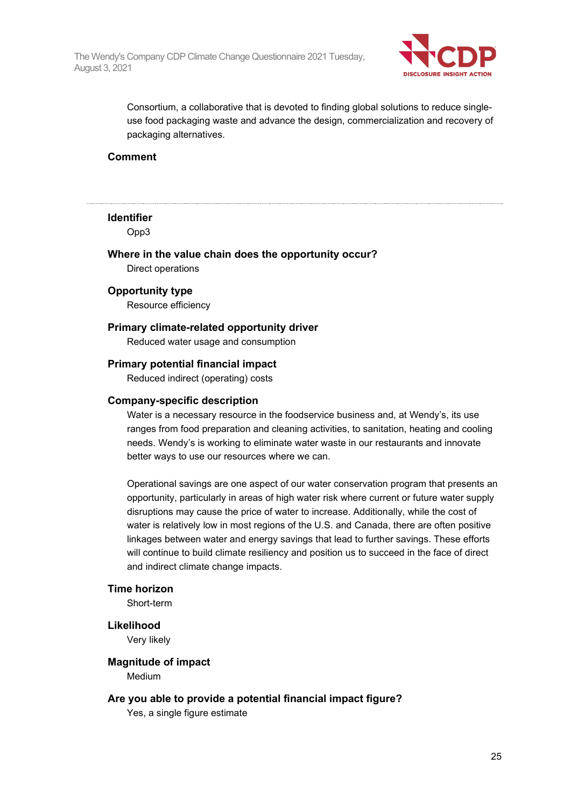

Consortium, a collaborative that is devoted to finding global solutions to reduce singleuse food packaging waste and advance the design, commercialization and recovery of packaging alternatives.

#### **Comment**

#### **Identifier**

Opp3

## **Where in the value chain does the opportunity occur?**

Direct operations

#### **Opportunity type**

Resource efficiency

#### **Primary climate-related opportunity driver**

Reduced water usage and consumption

#### **Primary potential financial impact**

Reduced indirect (operating) costs

#### **Company-specific description**

Water is a necessary resource in the foodservice business and, at Wendy's, its use ranges from food preparation and cleaning activities, to sanitation, heating and cooling needs. Wendy's is working to eliminate water waste in our restaurants and innovate better ways to use our resources where we can.

Operational savings are one aspect of our water conservation program that presents an opportunity, particularly in areas of high water risk where current or future water supply disruptions may cause the price of water to increase. Additionally, while the cost of water is relatively low in most regions of the U.S. and Canada, there are often positive linkages between water and energy savings that lead to further savings. These efforts will continue to build climate resiliency and position us to succeed in the face of direct and indirect climate change impacts.

#### **Time horizon**

Short-term

#### **Likelihood**

Very likely

#### **Magnitude of impact** Medium

#### **Are you able to provide a potential financial impact figure?**

Yes, a single figure estimate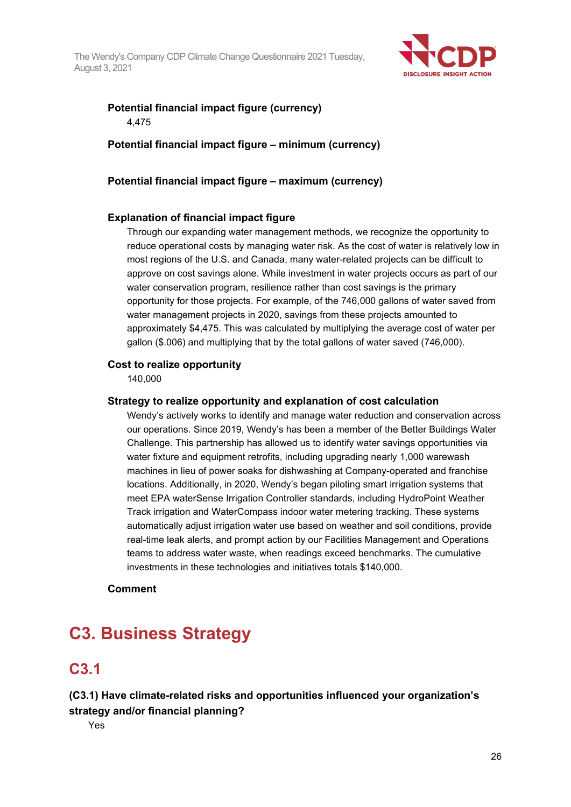

### **Potential financial impact figure (currency)** 4,475

**Potential financial impact figure – minimum (currency)**

#### **Potential financial impact figure – maximum (currency)**

#### **Explanation of financial impact figure**

Through our expanding water management methods, we recognize the opportunity to reduce operational costs by managing water risk. As the cost of water is relatively low in most regions of the U.S. and Canada, many water-related projects can be difficult to approve on cost savings alone. While investment in water projects occurs as part of our water conservation program, resilience rather than cost savings is the primary opportunity for those projects. For example, of the 746,000 gallons of water saved from water management projects in 2020, savings from these projects amounted to approximately \$4,475. This was calculated by multiplying the average cost of water per gallon (\$.006) and multiplying that by the total gallons of water saved (746,000).

#### **Cost to realize opportunity**

140,000

#### **Strategy to realize opportunity and explanation of cost calculation**

Wendy's actively works to identify and manage water reduction and conservation across our operations. Since 2019, Wendy's has been a member of the Better Buildings Water Challenge. This partnership has allowed us to identify water savings opportunities via water fixture and equipment retrofits, including upgrading nearly 1,000 warewash machines in lieu of power soaks for dishwashing at Company-operated and franchise locations. Additionally, in 2020, Wendy's began piloting smart irrigation systems that meet EPA waterSense Irrigation Controller standards, including HydroPoint Weather Track irrigation and WaterCompass indoor water metering tracking. These systems automatically adjust irrigation water use based on weather and soil conditions, provide real-time leak alerts, and prompt action by our Facilities Management and Operations teams to address water waste, when readings exceed benchmarks. The cumulative investments in these technologies and initiatives totals \$140,000.

**Comment**

## **C3. Business Strategy**

### **C3.1**

### **(C3.1) Have climate-related risks and opportunities influenced your organization's strategy and/or financial planning?**

Yes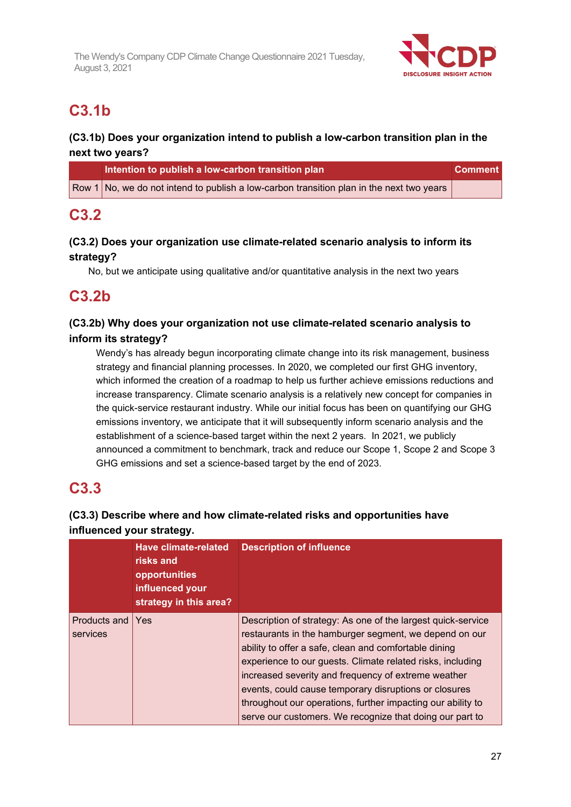

## **C3.1b**

### **(C3.1b) Does your organization intend to publish a low-carbon transition plan in the next two years?**

| Intention to publish a low-carbon transition plan                                                   | <b>Comment</b> |
|-----------------------------------------------------------------------------------------------------|----------------|
| $\sqrt{2}$ Row 1 No, we do not intend to publish a low-carbon transition plan in the next two years |                |

## **C3.2**

### **(C3.2) Does your organization use climate-related scenario analysis to inform its strategy?**

No, but we anticipate using qualitative and/or quantitative analysis in the next two years

## **C3.2b**

### **(C3.2b) Why does your organization not use climate-related scenario analysis to inform its strategy?**

Wendy's has already begun incorporating climate change into its risk management, business strategy and financial planning processes. In 2020, we completed our first GHG inventory, which informed the creation of a roadmap to help us further achieve emissions reductions and increase transparency. Climate scenario analysis is a relatively new concept for companies in the quick-service restaurant industry. While our initial focus has been on quantifying our GHG emissions inventory, we anticipate that it will subsequently inform scenario analysis and the establishment of a science-based target within the next 2 years. In 2021, we publicly announced a commitment to benchmark, track and reduce our Scope 1, Scope 2 and Scope 3 GHG emissions and set a science-based target by the end of 2023.

## **C3.3**

### **(C3.3) Describe where and how climate-related risks and opportunities have influenced your strategy.**

|                          | Have climate-related<br>risks and<br>opportunities<br>influenced your<br>strategy in this area? | <b>Description of influence</b>                                                                                                                                                                                                                                                                                                                                                                                                                                                          |
|--------------------------|-------------------------------------------------------------------------------------------------|------------------------------------------------------------------------------------------------------------------------------------------------------------------------------------------------------------------------------------------------------------------------------------------------------------------------------------------------------------------------------------------------------------------------------------------------------------------------------------------|
| Products and<br>services | l Yes                                                                                           | Description of strategy: As one of the largest quick-service<br>restaurants in the hamburger segment, we depend on our<br>ability to offer a safe, clean and comfortable dining<br>experience to our guests. Climate related risks, including<br>increased severity and frequency of extreme weather<br>events, could cause temporary disruptions or closures<br>throughout our operations, further impacting our ability to<br>serve our customers. We recognize that doing our part to |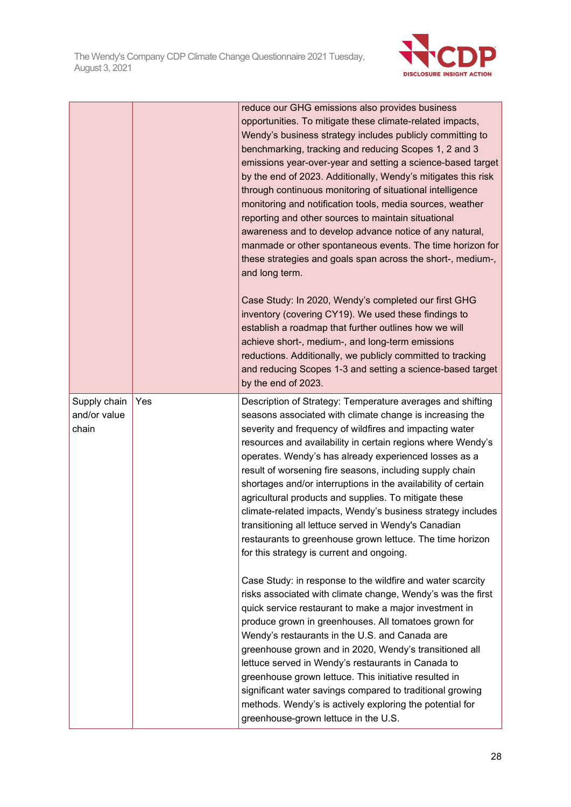

|                                       |     | reduce our GHG emissions also provides business<br>opportunities. To mitigate these climate-related impacts,<br>Wendy's business strategy includes publicly committing to<br>benchmarking, tracking and reducing Scopes 1, 2 and 3<br>emissions year-over-year and setting a science-based target<br>by the end of 2023. Additionally, Wendy's mitigates this risk<br>through continuous monitoring of situational intelligence<br>monitoring and notification tools, media sources, weather<br>reporting and other sources to maintain situational<br>awareness and to develop advance notice of any natural,<br>manmade or other spontaneous events. The time horizon for<br>these strategies and goals span across the short-, medium-,<br>and long term.<br>Case Study: In 2020, Wendy's completed our first GHG<br>inventory (covering CY19). We used these findings to<br>establish a roadmap that further outlines how we will<br>achieve short-, medium-, and long-term emissions<br>reductions. Additionally, we publicly committed to tracking<br>and reducing Scopes 1-3 and setting a science-based target<br>by the end of 2023.                                                                                                                                                                                                                               |
|---------------------------------------|-----|-----------------------------------------------------------------------------------------------------------------------------------------------------------------------------------------------------------------------------------------------------------------------------------------------------------------------------------------------------------------------------------------------------------------------------------------------------------------------------------------------------------------------------------------------------------------------------------------------------------------------------------------------------------------------------------------------------------------------------------------------------------------------------------------------------------------------------------------------------------------------------------------------------------------------------------------------------------------------------------------------------------------------------------------------------------------------------------------------------------------------------------------------------------------------------------------------------------------------------------------------------------------------------------------------------------------------------------------------------------------------------|
| Supply chain<br>and/or value<br>chain | Yes | Description of Strategy: Temperature averages and shifting<br>seasons associated with climate change is increasing the<br>severity and frequency of wildfires and impacting water<br>resources and availability in certain regions where Wendy's<br>operates. Wendy's has already experienced losses as a<br>result of worsening fire seasons, including supply chain<br>shortages and/or interruptions in the availability of certain<br>agricultural products and supplies. To mitigate these<br>climate-related impacts, Wendy's business strategy includes<br>transitioning all lettuce served in Wendy's Canadian<br>restaurants to greenhouse grown lettuce. The time horizon<br>for this strategy is current and ongoing.<br>Case Study: in response to the wildfire and water scarcity<br>risks associated with climate change, Wendy's was the first<br>quick service restaurant to make a major investment in<br>produce grown in greenhouses. All tomatoes grown for<br>Wendy's restaurants in the U.S. and Canada are<br>greenhouse grown and in 2020, Wendy's transitioned all<br>lettuce served in Wendy's restaurants in Canada to<br>greenhouse grown lettuce. This initiative resulted in<br>significant water savings compared to traditional growing<br>methods. Wendy's is actively exploring the potential for<br>greenhouse-grown lettuce in the U.S. |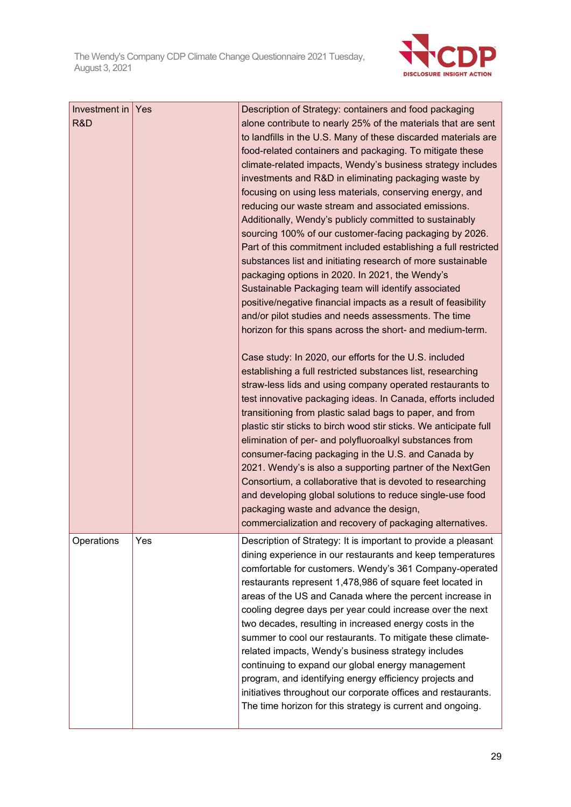

| Investment in Yes<br>R&D |     | Description of Strategy: containers and food packaging<br>alone contribute to nearly 25% of the materials that are sent<br>to landfills in the U.S. Many of these discarded materials are<br>food-related containers and packaging. To mitigate these<br>climate-related impacts, Wendy's business strategy includes<br>investments and R&D in eliminating packaging waste by<br>focusing on using less materials, conserving energy, and<br>reducing our waste stream and associated emissions.<br>Additionally, Wendy's publicly committed to sustainably<br>sourcing 100% of our customer-facing packaging by 2026.<br>Part of this commitment included establishing a full restricted<br>substances list and initiating research of more sustainable<br>packaging options in 2020. In 2021, the Wendy's<br>Sustainable Packaging team will identify associated<br>positive/negative financial impacts as a result of feasibility<br>and/or pilot studies and needs assessments. The time<br>horizon for this spans across the short- and medium-term.<br>Case study: In 2020, our efforts for the U.S. included<br>establishing a full restricted substances list, researching<br>straw-less lids and using company operated restaurants to<br>test innovative packaging ideas. In Canada, efforts included<br>transitioning from plastic salad bags to paper, and from<br>plastic stir sticks to birch wood stir sticks. We anticipate full<br>elimination of per- and polyfluoroalkyl substances from<br>consumer-facing packaging in the U.S. and Canada by |
|--------------------------|-----|--------------------------------------------------------------------------------------------------------------------------------------------------------------------------------------------------------------------------------------------------------------------------------------------------------------------------------------------------------------------------------------------------------------------------------------------------------------------------------------------------------------------------------------------------------------------------------------------------------------------------------------------------------------------------------------------------------------------------------------------------------------------------------------------------------------------------------------------------------------------------------------------------------------------------------------------------------------------------------------------------------------------------------------------------------------------------------------------------------------------------------------------------------------------------------------------------------------------------------------------------------------------------------------------------------------------------------------------------------------------------------------------------------------------------------------------------------------------------------------------------------------------------------------------------------------------|
|                          |     | Consortium, a collaborative that is devoted to researching<br>and developing global solutions to reduce single-use food<br>packaging waste and advance the design,<br>commercialization and recovery of packaging alternatives.                                                                                                                                                                                                                                                                                                                                                                                                                                                                                                                                                                                                                                                                                                                                                                                                                                                                                                                                                                                                                                                                                                                                                                                                                                                                                                                                    |
| Operations               | Yes | Description of Strategy: It is important to provide a pleasant<br>dining experience in our restaurants and keep temperatures<br>comfortable for customers. Wendy's 361 Company-operated<br>restaurants represent 1,478,986 of square feet located in<br>areas of the US and Canada where the percent increase in<br>cooling degree days per year could increase over the next<br>two decades, resulting in increased energy costs in the<br>summer to cool our restaurants. To mitigate these climate-<br>related impacts, Wendy's business strategy includes<br>continuing to expand our global energy management<br>program, and identifying energy efficiency projects and<br>initiatives throughout our corporate offices and restaurants.<br>The time horizon for this strategy is current and ongoing.                                                                                                                                                                                                                                                                                                                                                                                                                                                                                                                                                                                                                                                                                                                                                       |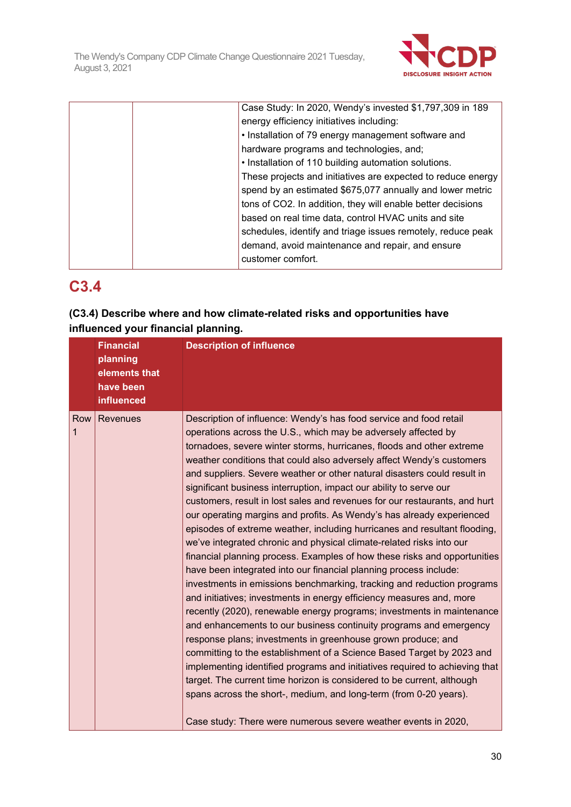

|  | Case Study: In 2020, Wendy's invested \$1,797,309 in 189     |
|--|--------------------------------------------------------------|
|  | energy efficiency initiatives including:                     |
|  | • Installation of 79 energy management software and          |
|  | hardware programs and technologies, and;                     |
|  | . Installation of 110 building automation solutions.         |
|  | These projects and initiatives are expected to reduce energy |
|  | spend by an estimated \$675,077 annually and lower metric    |
|  | tons of CO2. In addition, they will enable better decisions  |
|  | based on real time data, control HVAC units and site         |
|  | schedules, identify and triage issues remotely, reduce peak  |
|  | demand, avoid maintenance and repair, and ensure             |
|  | customer comfort.                                            |
|  |                                                              |

## **C3.4**

### **(C3.4) Describe where and how climate-related risks and opportunities have influenced your financial planning.**

|          | <b>Financial</b><br>planning<br>elements that<br>have been<br>influenced | <b>Description of influence</b>                                                                                                                                                                                                                                                                                                                                                                                                                                                                                                                                                                                                                                                                                                                                                                                                                                                                                                                                                                                                                                                                                                                                                                                                                                                                                                                                                                                                                                                                                                                                                                                                                   |
|----------|--------------------------------------------------------------------------|---------------------------------------------------------------------------------------------------------------------------------------------------------------------------------------------------------------------------------------------------------------------------------------------------------------------------------------------------------------------------------------------------------------------------------------------------------------------------------------------------------------------------------------------------------------------------------------------------------------------------------------------------------------------------------------------------------------------------------------------------------------------------------------------------------------------------------------------------------------------------------------------------------------------------------------------------------------------------------------------------------------------------------------------------------------------------------------------------------------------------------------------------------------------------------------------------------------------------------------------------------------------------------------------------------------------------------------------------------------------------------------------------------------------------------------------------------------------------------------------------------------------------------------------------------------------------------------------------------------------------------------------------|
| Row<br>1 | Revenues                                                                 | Description of influence: Wendy's has food service and food retail<br>operations across the U.S., which may be adversely affected by<br>tornadoes, severe winter storms, hurricanes, floods and other extreme<br>weather conditions that could also adversely affect Wendy's customers<br>and suppliers. Severe weather or other natural disasters could result in<br>significant business interruption, impact our ability to serve our<br>customers, result in lost sales and revenues for our restaurants, and hurt<br>our operating margins and profits. As Wendy's has already experienced<br>episodes of extreme weather, including hurricanes and resultant flooding,<br>we've integrated chronic and physical climate-related risks into our<br>financial planning process. Examples of how these risks and opportunities<br>have been integrated into our financial planning process include:<br>investments in emissions benchmarking, tracking and reduction programs<br>and initiatives; investments in energy efficiency measures and, more<br>recently (2020), renewable energy programs; investments in maintenance<br>and enhancements to our business continuity programs and emergency<br>response plans; investments in greenhouse grown produce; and<br>committing to the establishment of a Science Based Target by 2023 and<br>implementing identified programs and initiatives required to achieving that<br>target. The current time horizon is considered to be current, although<br>spans across the short-, medium, and long-term (from 0-20 years).<br>Case study: There were numerous severe weather events in 2020, |
|          |                                                                          |                                                                                                                                                                                                                                                                                                                                                                                                                                                                                                                                                                                                                                                                                                                                                                                                                                                                                                                                                                                                                                                                                                                                                                                                                                                                                                                                                                                                                                                                                                                                                                                                                                                   |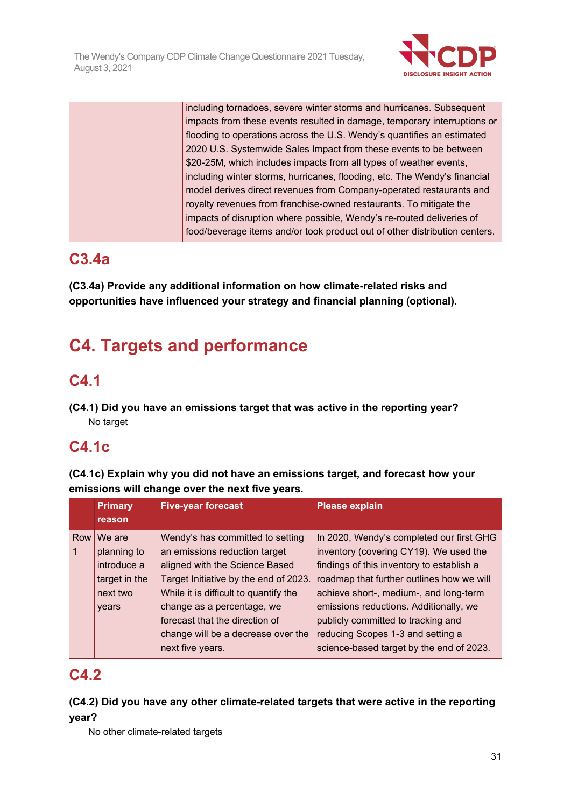

|  | including tornadoes, severe winter storms and hurricanes. Subsequent       |
|--|----------------------------------------------------------------------------|
|  | impacts from these events resulted in damage, temporary interruptions or   |
|  | flooding to operations across the U.S. Wendy's quantifies an estimated     |
|  | 2020 U.S. Systemwide Sales Impact from these events to be between          |
|  | \$20-25M, which includes impacts from all types of weather events,         |
|  | including winter storms, hurricanes, flooding, etc. The Wendy's financial  |
|  | model derives direct revenues from Company-operated restaurants and        |
|  | royalty revenues from franchise-owned restaurants. To mitigate the         |
|  | impacts of disruption where possible, Wendy's re-routed deliveries of      |
|  | food/beverage items and/or took product out of other distribution centers. |

### **C3.4a**

**(C3.4a) Provide any additional information on how climate-related risks and opportunities have influenced your strategy and financial planning (optional).**

# **C4. Targets and performance**

## **C4.1**

**(C4.1) Did you have an emissions target that was active in the reporting year?** No target

## **C4.1c**

**(C4.1c) Explain why you did not have an emissions target, and forecast how your emissions will change over the next five years.**

|     | <b>Primary</b> | <b>Five-year forecast</b>             | <b>Please explain</b>                     |
|-----|----------------|---------------------------------------|-------------------------------------------|
|     | reason         |                                       |                                           |
| Row | We are         | Wendy's has committed to setting      | In 2020, Wendy's completed our first GHG  |
|     | planning to    | an emissions reduction target         | inventory (covering CY19). We used the    |
|     | introduce a    | aligned with the Science Based        | findings of this inventory to establish a |
|     | target in the  | Target Initiative by the end of 2023. | roadmap that further outlines how we will |
|     | next two       | While it is difficult to quantify the | achieve short-, medium-, and long-term    |
|     | years          | change as a percentage, we            | emissions reductions. Additionally, we    |
|     |                | forecast that the direction of        | publicly committed to tracking and        |
|     |                | change will be a decrease over the    | reducing Scopes 1-3 and setting a         |
|     |                | next five years.                      | science-based target by the end of 2023.  |

## **C4.2**

### **(C4.2) Did you have any other climate-related targets that were active in the reporting year?**

No other climate-related targets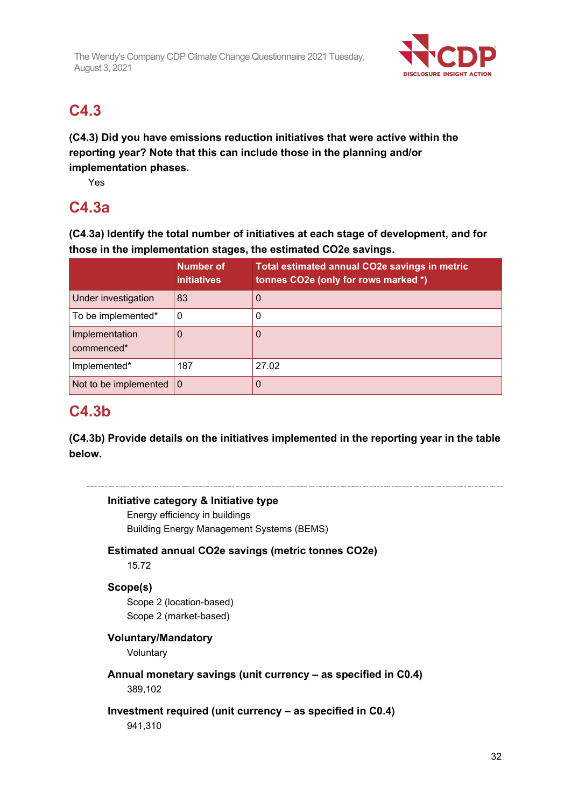

## **C4.3**

**(C4.3) Did you have emissions reduction initiatives that were active within the reporting year? Note that this can include those in the planning and/or implementation phases.**

Yes

## **C4.3a**

**(C4.3a) Identify the total number of initiatives at each stage of development, and for those in the implementation stages, the estimated CO2e savings.**

|                                   | <b>Number of</b><br><b>initiatives</b> | Total estimated annual CO2e savings in metric<br>tonnes CO2e (only for rows marked *) |
|-----------------------------------|----------------------------------------|---------------------------------------------------------------------------------------|
| Under investigation               | 83                                     |                                                                                       |
| To be implemented*                | 0                                      |                                                                                       |
| Implementation<br>commenced*      |                                        |                                                                                       |
| Implemented*                      | 187                                    | 27.02                                                                                 |
| Not to be implemented $ 0\rangle$ |                                        |                                                                                       |

### **C4.3b**

**(C4.3b) Provide details on the initiatives implemented in the reporting year in the table below.**

### **Initiative category & Initiative type**

Energy efficiency in buildings Building Energy Management Systems (BEMS)

### **Estimated annual CO2e savings (metric tonnes CO2e)**

15.72

### **Scope(s)**

Scope 2 (location-based) Scope 2 (market-based)

### **Voluntary/Mandatory**

Voluntary

## **Annual monetary savings (unit currency – as specified in C0.4)**

389,102

### **Investment required (unit currency – as specified in C0.4)**

941,310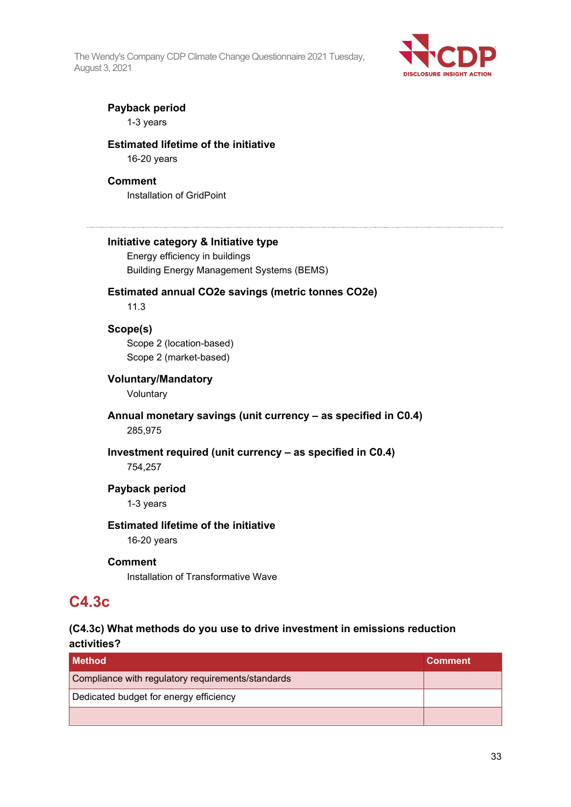

#### **Payback period**

1-3 years

#### **Estimated lifetime of the initiative**

16-20 years

#### **Comment**

Installation of GridPoint

#### **Initiative category & Initiative type**

Energy efficiency in buildings Building Energy Management Systems (BEMS)

#### **Estimated annual CO2e savings (metric tonnes CO2e)**

11.3

### **Scope(s)**

Scope 2 (location-based) Scope 2 (market-based)

#### **Voluntary/Mandatory**

Voluntary

#### **Annual monetary savings (unit currency – as specified in C0.4)** 285,975

**Investment required (unit currency – as specified in C0.4)** 754,257

#### **Payback period**

1-3 years

### **Estimated lifetime of the initiative**

16-20 years

#### **Comment**

Installation of Transformative Wave

### **C4.3c**

#### **(C4.3c) What methods do you use to drive investment in emissions reduction activities?**

| l Method                                          | <b>Comment</b> |
|---------------------------------------------------|----------------|
| Compliance with regulatory requirements/standards |                |
| Dedicated budget for energy efficiency            |                |
|                                                   |                |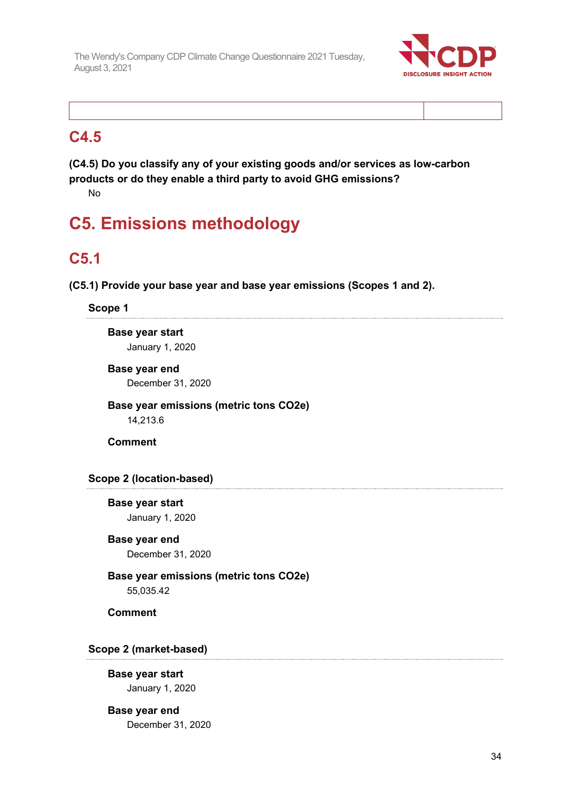

### **C4.5**

**(C4.5) Do you classify any of your existing goods and/or services as low-carbon products or do they enable a third party to avoid GHG emissions?** No

# **C5. Emissions methodology**

## **C5.1**

**(C5.1) Provide your base year and base year emissions (Scopes 1 and 2).**

### **Scope 1**

**Base year start** January 1, 2020

**Base year end** December 31, 2020

**Base year emissions (metric tons CO2e)** 14,213.6

**Comment**

### **Scope 2 (location-based)**

**Base year start** January 1, 2020

**Base year end** December 31, 2020

#### **Base year emissions (metric tons CO2e)** 55,035.42

**Comment**

### **Scope 2 (market-based)**

**Base year start** January 1, 2020

## **Base year end**

December 31, 2020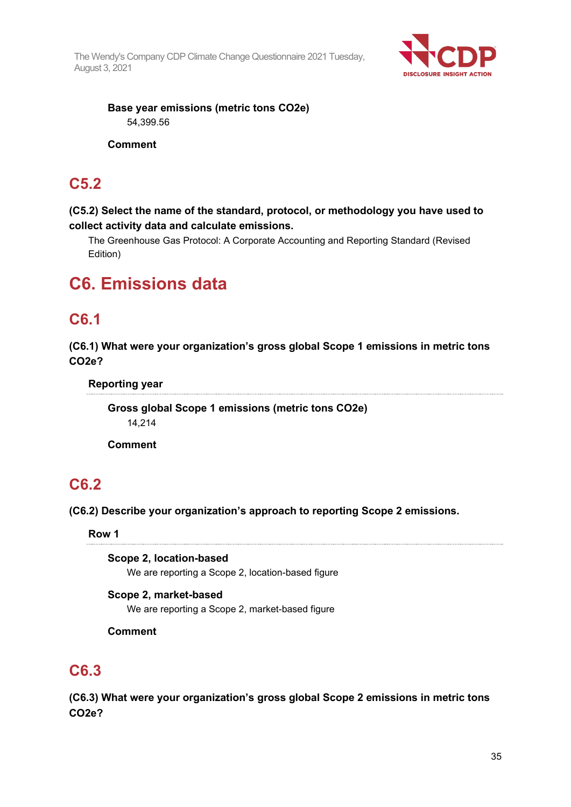

**Base year emissions (metric tons CO2e)** 54,399.56

#### **Comment**

### **C5.2**

**(C5.2) Select the name of the standard, protocol, or methodology you have used to collect activity data and calculate emissions.**

The Greenhouse Gas Protocol: A Corporate Accounting and Reporting Standard (Revised Edition)

## **C6. Emissions data**

## **C6.1**

**(C6.1) What were your organization's gross global Scope 1 emissions in metric tons CO2e?**

**Reporting year**

**Gross global Scope 1 emissions (metric tons CO2e)** 14,214

**Comment**

## **C6.2**

**(C6.2) Describe your organization's approach to reporting Scope 2 emissions.**

**Row 1**

**Scope 2, location-based** We are reporting a Scope 2, location-based figure

**Scope 2, market-based** We are reporting a Scope 2, market-based figure

**Comment**

## **C6.3**

**(C6.3) What were your organization's gross global Scope 2 emissions in metric tons CO2e?**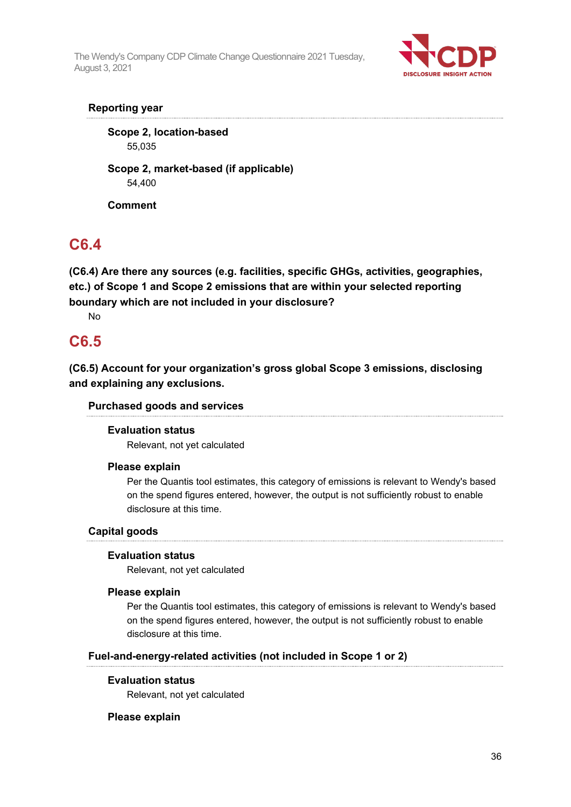

### **Reporting year**

**Scope 2, location-based** 55,035

**Scope 2, market-based (if applicable)** 54,400

**Comment**

## **C6.4**

**(C6.4) Are there any sources (e.g. facilities, specific GHGs, activities, geographies, etc.) of Scope 1 and Scope 2 emissions that are within your selected reporting boundary which are not included in your disclosure?**

No

## **C6.5**

**(C6.5) Account for your organization's gross global Scope 3 emissions, disclosing and explaining any exclusions.**

### **Purchased goods and services**

#### **Evaluation status**

Relevant, not yet calculated

#### **Please explain**

Per the Quantis tool estimates, this category of emissions is relevant to Wendy's based on the spend figures entered, however, the output is not sufficiently robust to enable disclosure at this time.

### **Capital goods**

#### **Evaluation status**

Relevant, not yet calculated

#### **Please explain**

Per the Quantis tool estimates, this category of emissions is relevant to Wendy's based on the spend figures entered, however, the output is not sufficiently robust to enable disclosure at this time.

#### **Fuel-and-energy-related activities (not included in Scope 1 or 2)**

#### **Evaluation status**

Relevant, not yet calculated

#### **Please explain**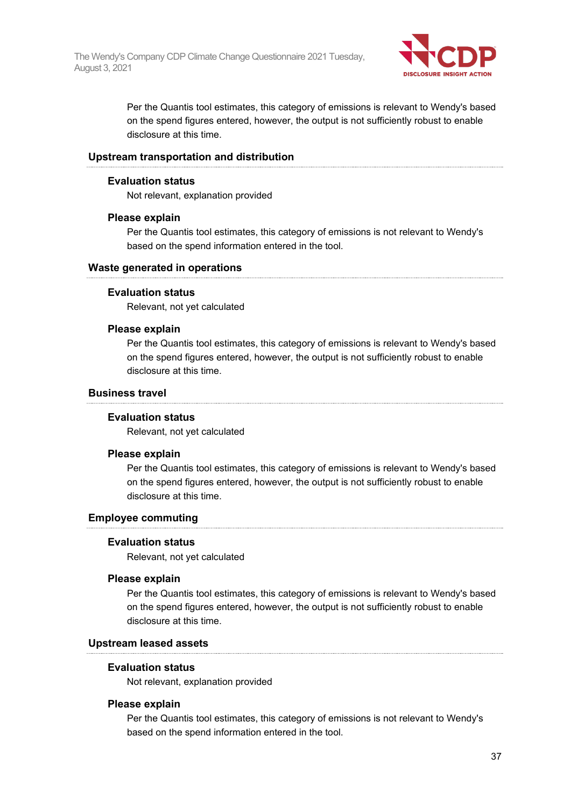

Per the Quantis tool estimates, this category of emissions is relevant to Wendy's based on the spend figures entered, however, the output is not sufficiently robust to enable disclosure at this time.

#### **Upstream transportation and distribution**

#### **Evaluation status**

Not relevant, explanation provided

#### **Please explain**

Per the Quantis tool estimates, this category of emissions is not relevant to Wendy's based on the spend information entered in the tool.

#### **Waste generated in operations**

#### **Evaluation status**

Relevant, not yet calculated

#### **Please explain**

Per the Quantis tool estimates, this category of emissions is relevant to Wendy's based on the spend figures entered, however, the output is not sufficiently robust to enable disclosure at this time.

#### **Business travel**

#### **Evaluation status**

Relevant, not yet calculated

#### **Please explain**

Per the Quantis tool estimates, this category of emissions is relevant to Wendy's based on the spend figures entered, however, the output is not sufficiently robust to enable disclosure at this time.

#### **Employee commuting**

#### **Evaluation status**

Relevant, not yet calculated

#### **Please explain**

Per the Quantis tool estimates, this category of emissions is relevant to Wendy's based on the spend figures entered, however, the output is not sufficiently robust to enable disclosure at this time.

#### **Upstream leased assets**

#### **Evaluation status**

Not relevant, explanation provided

#### **Please explain**

Per the Quantis tool estimates, this category of emissions is not relevant to Wendy's based on the spend information entered in the tool.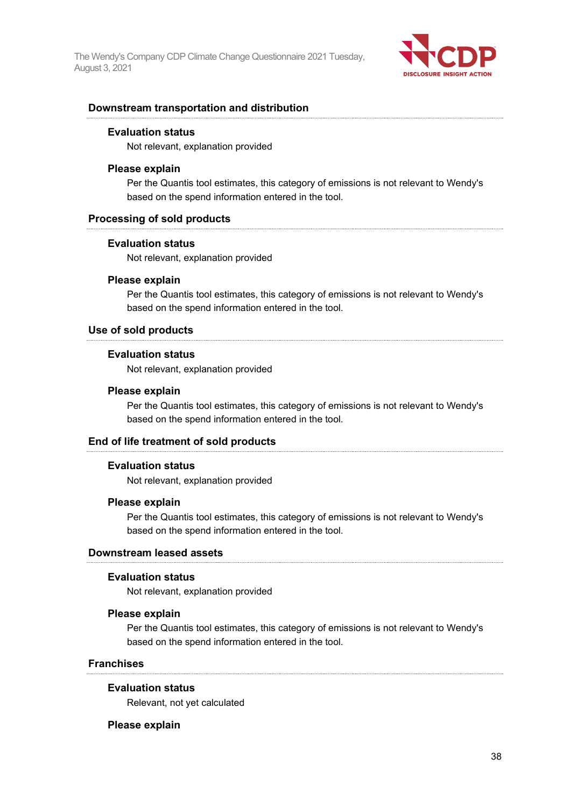

#### **Downstream transportation and distribution**

#### **Evaluation status**

Not relevant, explanation provided

#### **Please explain**

Per the Quantis tool estimates, this category of emissions is not relevant to Wendy's based on the spend information entered in the tool.

#### **Processing of sold products**

#### **Evaluation status**

Not relevant, explanation provided

#### **Please explain**

Per the Quantis tool estimates, this category of emissions is not relevant to Wendy's based on the spend information entered in the tool.

#### **Use of sold products**

#### **Evaluation status**

Not relevant, explanation provided

#### **Please explain**

Per the Quantis tool estimates, this category of emissions is not relevant to Wendy's based on the spend information entered in the tool.

#### **End of life treatment of sold products**

#### **Evaluation status**

Not relevant, explanation provided

#### **Please explain**

Per the Quantis tool estimates, this category of emissions is not relevant to Wendy's based on the spend information entered in the tool.

#### **Downstream leased assets**

#### **Evaluation status**

Not relevant, explanation provided

#### **Please explain**

Per the Quantis tool estimates, this category of emissions is not relevant to Wendy's based on the spend information entered in the tool.

#### **Franchises**

#### **Evaluation status**

Relevant, not yet calculated

#### **Please explain**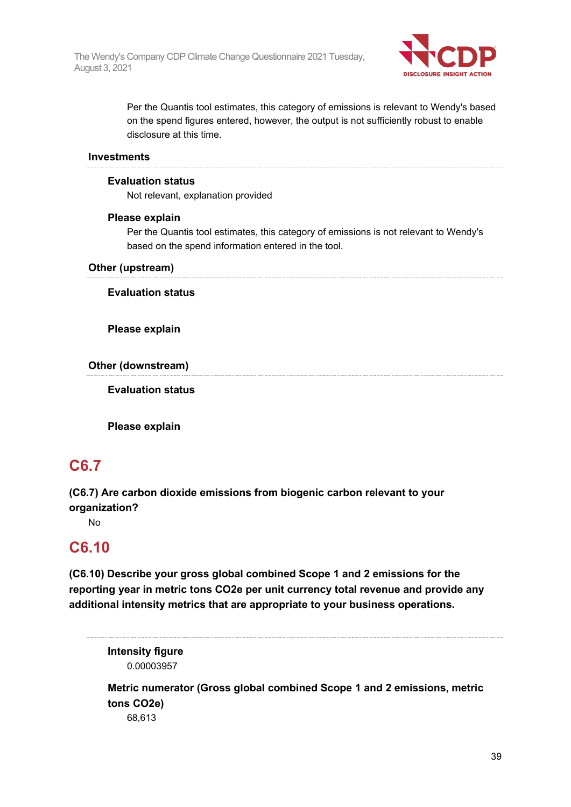

Per the Quantis tool estimates, this category of emissions is relevant to Wendy's based on the spend figures entered, however, the output is not sufficiently robust to enable disclosure at this time.

#### **Investments**

#### **Evaluation status**

Not relevant, explanation provided

#### **Please explain**

Per the Quantis tool estimates, this category of emissions is not relevant to Wendy's based on the spend information entered in the tool.

#### **Other (upstream)**

**Evaluation status**

**Please explain**

**Other (downstream)**

**Evaluation status**

**Please explain**

## **C6.7**

**(C6.7) Are carbon dioxide emissions from biogenic carbon relevant to your organization?**

No

### **C6.10**

**(C6.10) Describe your gross global combined Scope 1 and 2 emissions for the reporting year in metric tons CO2e per unit currency total revenue and provide any additional intensity metrics that are appropriate to your business operations.**

**Intensity figure** 0.00003957

**Metric numerator (Gross global combined Scope 1 and 2 emissions, metric tons CO2e)**

68,613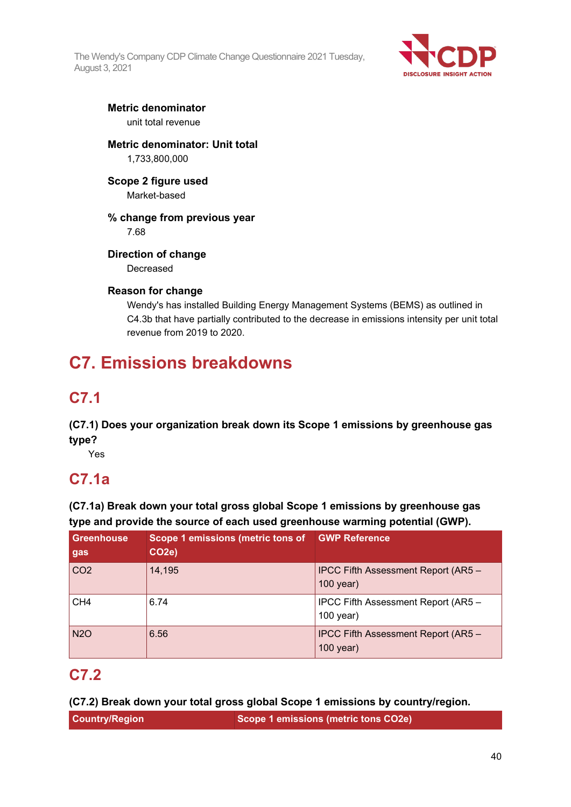

#### **Metric denominator** unit total revenue

### **Metric denominator: Unit total** 1,733,800,000

## **Scope 2 figure used**

Market-based

### **% change from previous year**

7.68

### **Direction of change**

Decreased

### **Reason for change**

Wendy's has installed Building Energy Management Systems (BEMS) as outlined in C4.3b that have partially contributed to the decrease in emissions intensity per unit total revenue from 2019 to 2020.

# **C7. Emissions breakdowns**

## **C7.1**

**(C7.1) Does your organization break down its Scope 1 emissions by greenhouse gas type?**

Yes

## **C7.1a**

**(C7.1a) Break down your total gross global Scope 1 emissions by greenhouse gas type and provide the source of each used greenhouse warming potential (GWP).**

| <b>Greenhouse</b><br>gas | Scope 1 emissions (metric tons of<br>CO <sub>2e</sub> ) | <b>GWP Reference</b>                                    |
|--------------------------|---------------------------------------------------------|---------------------------------------------------------|
| CO <sub>2</sub>          | 14,195                                                  | IPCC Fifth Assessment Report (AR5 -<br>$100$ year)      |
| CH <sub>4</sub>          | 6.74                                                    | IPCC Fifth Assessment Report (AR5 -<br>100 year)        |
| <b>N2O</b>               | 6.56                                                    | <b>IPCC Fifth Assessment Report (AR5 -</b><br>100 year) |

## **C7.2**

**(C7.2) Break down your total gross global Scope 1 emissions by country/region.**

| <b>Country/Region</b><br>Scope 1 emissions (metric tons CO2e) |
|---------------------------------------------------------------|
|---------------------------------------------------------------|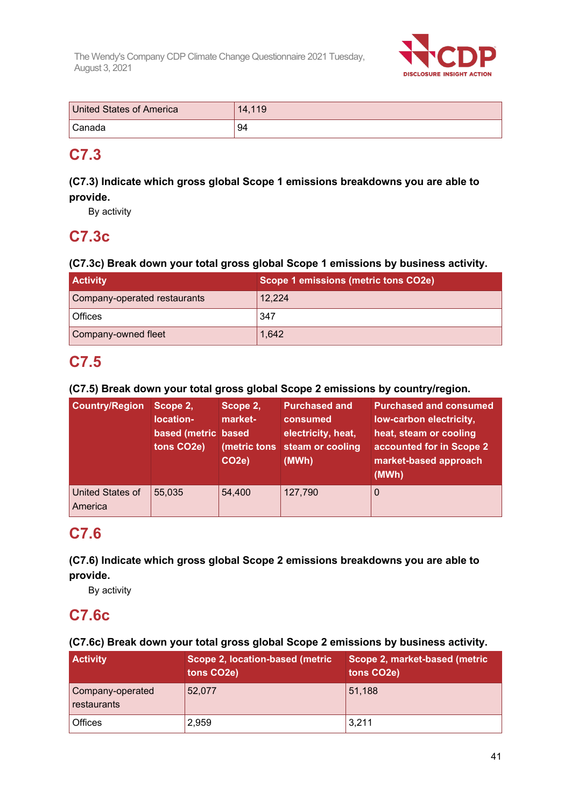

| United States of America | 14.119 |
|--------------------------|--------|
| ' Canada                 | 94     |

## **C7.3**

### **(C7.3) Indicate which gross global Scope 1 emissions breakdowns you are able to provide.**

By activity

## **C7.3c**

### **(C7.3c) Break down your total gross global Scope 1 emissions by business activity.**

| <b>Activity</b>              | Scope 1 emissions (metric tons CO2e) |
|------------------------------|--------------------------------------|
| Company-operated restaurants | 12,224                               |
| l Offices                    | 347                                  |
| Company-owned fleet          | 1,642                                |

## **C7.5**

**(C7.5) Break down your total gross global Scope 2 emissions by country/region.**

| <b>Country/Region</b>              | Scope 2,<br>location-<br>based (metric based<br>tons CO2e) | Scope 2,<br>market-<br>(metric tons<br><b>CO2e)</b> | <b>Purchased and</b><br>consumed<br>electricity, heat,<br>steam or cooling<br>(MWh) | <b>Purchased and consumed</b><br>low-carbon electricity,<br>heat, steam or cooling<br>accounted for in Scope 2<br>market-based approach<br>(MWh) |
|------------------------------------|------------------------------------------------------------|-----------------------------------------------------|-------------------------------------------------------------------------------------|--------------------------------------------------------------------------------------------------------------------------------------------------|
| <b>United States of</b><br>America | 55,035                                                     | 54,400                                              | 127,790                                                                             | $\Omega$                                                                                                                                         |

## **C7.6**

### **(C7.6) Indicate which gross global Scope 2 emissions breakdowns you are able to provide.**

By activity

## **C7.6c**

### **(C7.6c) Break down your total gross global Scope 2 emissions by business activity.**

| <b>Activity</b>                 | Scope 2, location-based (metric<br>tons CO <sub>2</sub> e) | Scope 2, market-based (metric<br>tons CO <sub>2</sub> e) |
|---------------------------------|------------------------------------------------------------|----------------------------------------------------------|
| Company-operated<br>restaurants | 52.077                                                     | 51,188                                                   |
| <b>Offices</b>                  | 2,959                                                      | 3,211                                                    |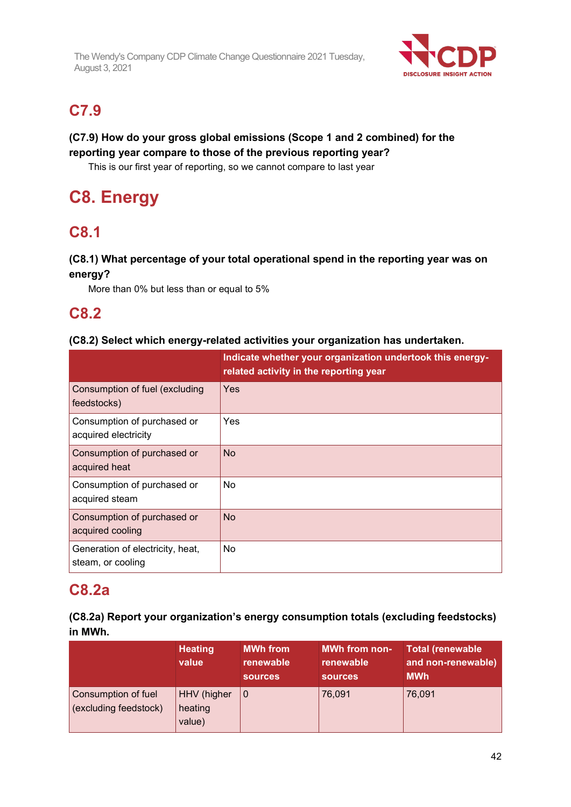

## **C7.9**

### **(C7.9) How do your gross global emissions (Scope 1 and 2 combined) for the reporting year compare to those of the previous reporting year?**

This is our first year of reporting, so we cannot compare to last year

# **C8. Energy**

## **C8.1**

### **(C8.1) What percentage of your total operational spend in the reporting year was on energy?**

More than 0% but less than or equal to 5%

### **C8.2**

### **(C8.2) Select which energy-related activities your organization has undertaken.**

|                                                       | Indicate whether your organization undertook this energy-<br>related activity in the reporting year |
|-------------------------------------------------------|-----------------------------------------------------------------------------------------------------|
| Consumption of fuel (excluding<br>feedstocks)         | Yes                                                                                                 |
| Consumption of purchased or<br>acquired electricity   | Yes                                                                                                 |
| Consumption of purchased or<br>acquired heat          | <b>No</b>                                                                                           |
| Consumption of purchased or<br>acquired steam         | No                                                                                                  |
| Consumption of purchased or<br>acquired cooling       | <b>No</b>                                                                                           |
| Generation of electricity, heat,<br>steam, or cooling | No                                                                                                  |

### **C8.2a**

| (C8.2a) Report your organization's energy consumption totals (excluding feedstocks) |  |
|-------------------------------------------------------------------------------------|--|
| in MWh.                                                                             |  |

|                                              | <b>Heating</b><br>value          | <b>MWh from</b><br>renewable<br><b>sources</b> | <b>MWh from non-</b><br>renewable<br><b>sources</b> | <b>Total (renewable</b><br>and non-renewable)<br><b>MWh</b> |
|----------------------------------------------|----------------------------------|------------------------------------------------|-----------------------------------------------------|-------------------------------------------------------------|
| Consumption of fuel<br>(excluding feedstock) | HHV (higher<br>heating<br>value) | $\Omega$                                       | 76,091                                              | 76,091                                                      |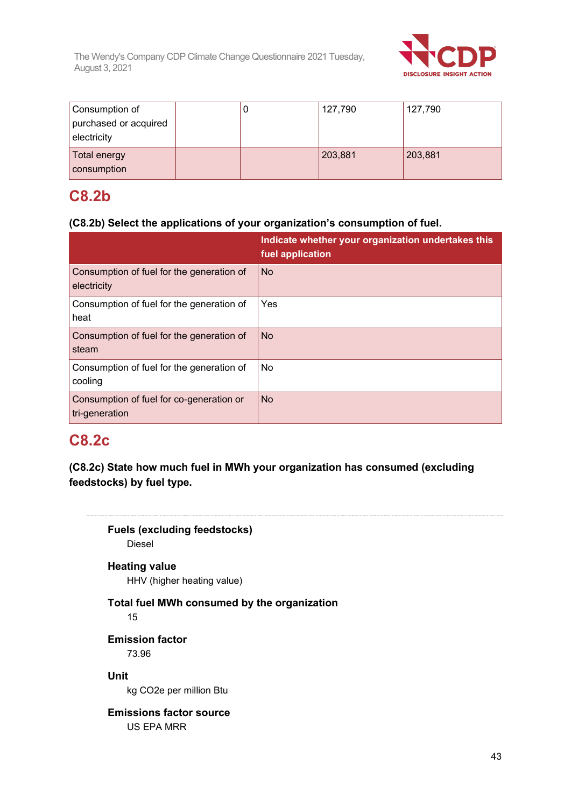

| Consumption of        |  | 127,790 | 127,790 |
|-----------------------|--|---------|---------|
| purchased or acquired |  |         |         |
| electricity           |  |         |         |
| Total energy          |  | 203,881 | 203,881 |
| consumption           |  |         |         |

### **C8.2b**

### **(C8.2b) Select the applications of your organization's consumption of fuel.**

|                                                            | Indicate whether your organization undertakes this<br>fuel application |
|------------------------------------------------------------|------------------------------------------------------------------------|
| Consumption of fuel for the generation of<br>electricity   | <b>No</b>                                                              |
| Consumption of fuel for the generation of<br>heat          | Yes                                                                    |
| Consumption of fuel for the generation of<br>steam         | <b>No</b>                                                              |
| Consumption of fuel for the generation of<br>cooling       | No                                                                     |
| Consumption of fuel for co-generation or<br>tri-generation | <b>No</b>                                                              |

### **C8.2c**

**(C8.2c) State how much fuel in MWh your organization has consumed (excluding feedstocks) by fuel type.**

## **Fuels (excluding feedstocks)** Diesel **Heating value** HHV (higher heating value) **Total fuel MWh consumed by the organization** 15 **Emission factor** 73.96 **Unit** kg CO2e per million Btu **Emissions factor source**

US EPA MRR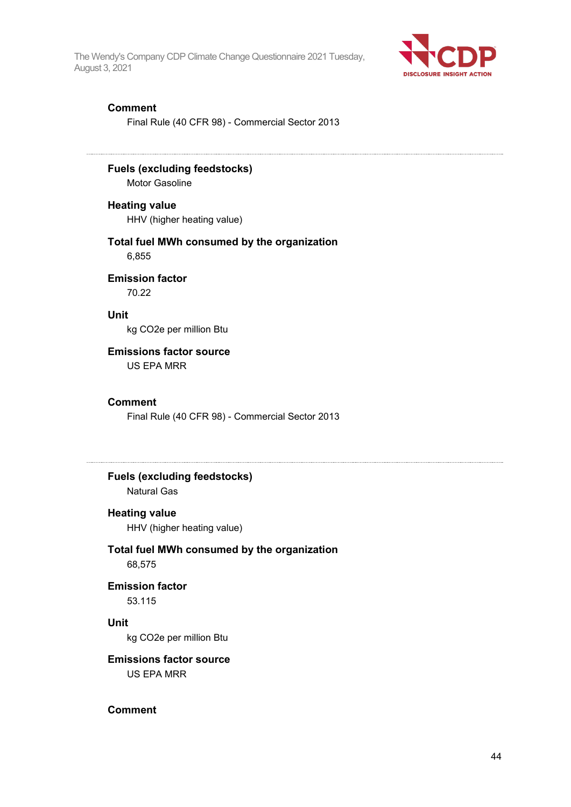

#### **Comment**

Final Rule (40 CFR 98) - Commercial Sector 2013

**Fuels (excluding feedstocks)** Motor Gasoline

**Heating value**

HHV (higher heating value)

#### **Total fuel MWh consumed by the organization** 6,855

**Emission factor** 70.22

**Unit**

kg CO2e per million Btu

#### **Emissions factor source**

US EPA MRR

#### **Comment**

Final Rule (40 CFR 98) - Commercial Sector 2013

### **Fuels (excluding feedstocks)** Natural Gas

#### **Heating value**

HHV (higher heating value)

#### **Total fuel MWh consumed by the organization** 68,575

### **Emission factor**

53.115

#### **Unit**

kg CO2e per million Btu

### **Emissions factor source**

US EPA MRR

### **Comment**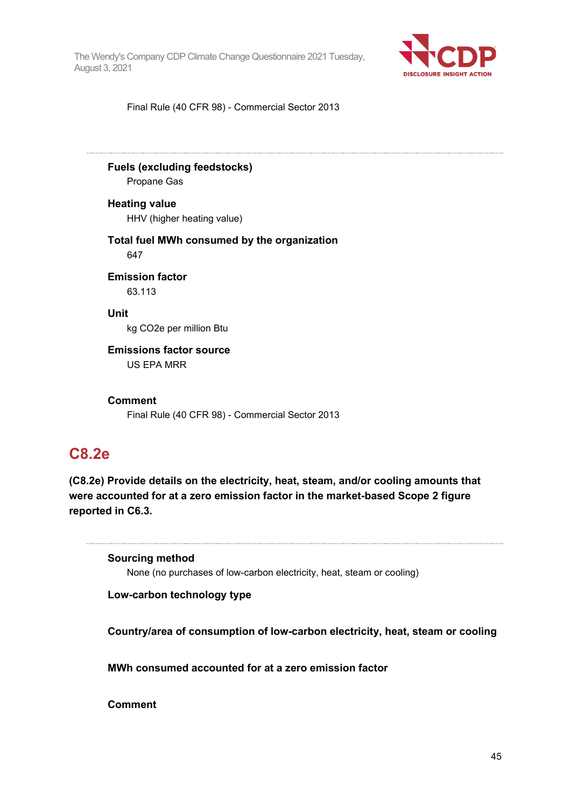

Final Rule (40 CFR 98) - Commercial Sector 2013

**Fuels (excluding feedstocks)** Propane Gas

**Heating value** HHV (higher heating value)

**Total fuel MWh consumed by the organization** 647

**Emission factor** 63.113

**Unit** kg CO2e per million Btu

**Emissions factor source** US EPA MRR

**Comment**

Final Rule (40 CFR 98) - Commercial Sector 2013

### **C8.2e**

**(C8.2e) Provide details on the electricity, heat, steam, and/or cooling amounts that were accounted for at a zero emission factor in the market-based Scope 2 figure reported in C6.3.**

**Sourcing method** None (no purchases of low-carbon electricity, heat, steam or cooling)

**Low-carbon technology type**

**Country/area of consumption of low-carbon electricity, heat, steam or cooling**

**MWh consumed accounted for at a zero emission factor**

**Comment**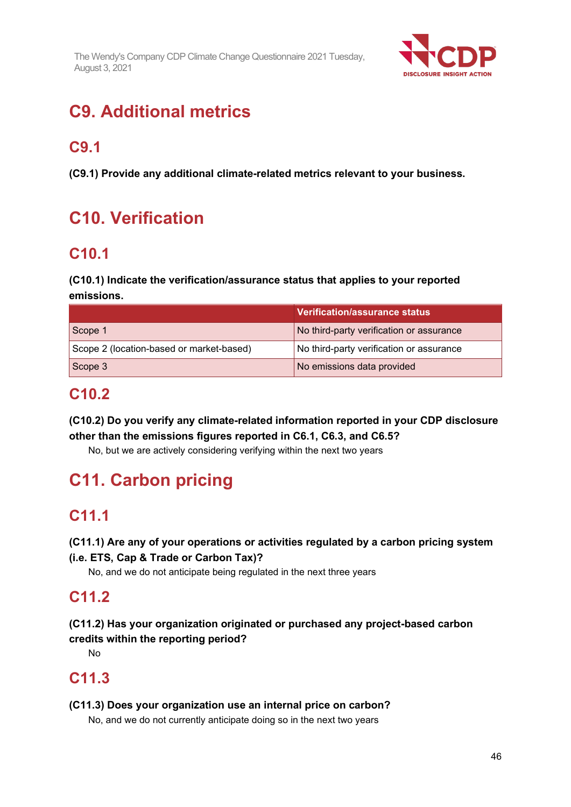

# **C9. Additional metrics**

## **C9.1**

**(C9.1) Provide any additional climate-related metrics relevant to your business.**

# **C10. Verification**

## **C10.1**

### **(C10.1) Indicate the verification/assurance status that applies to your reported emissions.**

|                                          | Verification/assurance status            |  |
|------------------------------------------|------------------------------------------|--|
| Scope 1                                  | No third-party verification or assurance |  |
| Scope 2 (location-based or market-based) | No third-party verification or assurance |  |
| Scope 3                                  | No emissions data provided               |  |

## **C10.2**

**(C10.2) Do you verify any climate-related information reported in your CDP disclosure other than the emissions figures reported in C6.1, C6.3, and C6.5?**

No, but we are actively considering verifying within the next two years

# **C11. Carbon pricing**

## **C11.1**

### **(C11.1) Are any of your operations or activities regulated by a carbon pricing system (i.e. ETS, Cap & Trade or Carbon Tax)?**

No, and we do not anticipate being regulated in the next three years

## **C11.2**

### **(C11.2) Has your organization originated or purchased any project-based carbon credits within the reporting period?**

No

## **C11.3**

### **(C11.3) Does your organization use an internal price on carbon?**

No, and we do not currently anticipate doing so in the next two years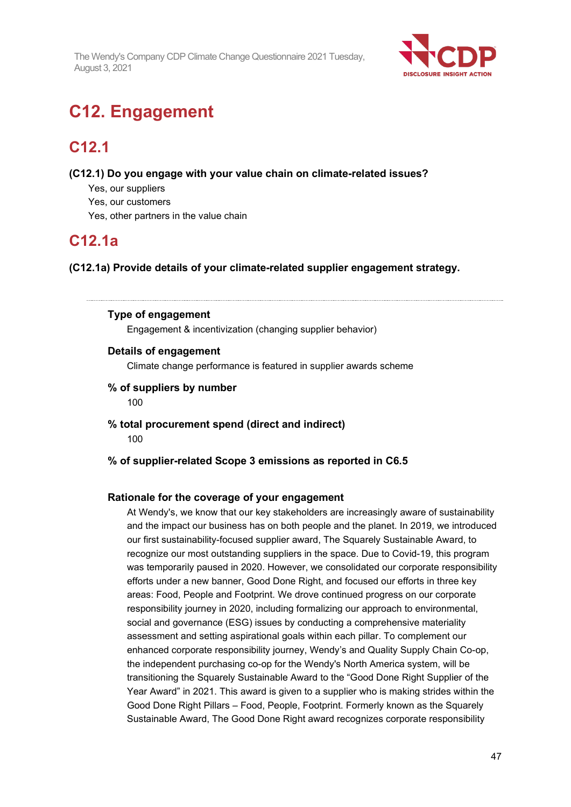

# **C12. Engagement**

## **C12.1**

**(C12.1) Do you engage with your value chain on climate-related issues?**

- Yes, our suppliers
- Yes, our customers
- Yes, other partners in the value chain

## **C12.1a**

**(C12.1a) Provide details of your climate-related supplier engagement strategy.**

#### **Type of engagement**

Engagement & incentivization (changing supplier behavior)

#### **Details of engagement**

Climate change performance is featured in supplier awards scheme

#### **% of suppliers by number**

100

- **% total procurement spend (direct and indirect)** 100
- **% of supplier-related Scope 3 emissions as reported in C6.5**

#### **Rationale for the coverage of your engagement**

At Wendy's, we know that our key stakeholders are increasingly aware of sustainability and the impact our business has on both people and the planet. In 2019, we introduced our first sustainability-focused supplier award, The Squarely Sustainable Award, to recognize our most outstanding suppliers in the space. Due to Covid-19, this program was temporarily paused in 2020. However, we consolidated our corporate responsibility efforts under a new banner, Good Done Right, and focused our efforts in three key areas: Food, People and Footprint. We drove continued progress on our corporate responsibility journey in 2020, including formalizing our approach to environmental, social and governance (ESG) issues by conducting a comprehensive materiality assessment and setting aspirational goals within each pillar. To complement our enhanced corporate responsibility journey, Wendy's and Quality Supply Chain Co-op, the independent purchasing co-op for the Wendy's North America system, will be transitioning the Squarely Sustainable Award to the "Good Done Right Supplier of the Year Award" in 2021. This award is given to a supplier who is making strides within the Good Done Right Pillars – Food, People, Footprint. Formerly known as the Squarely Sustainable Award, The Good Done Right award recognizes corporate responsibility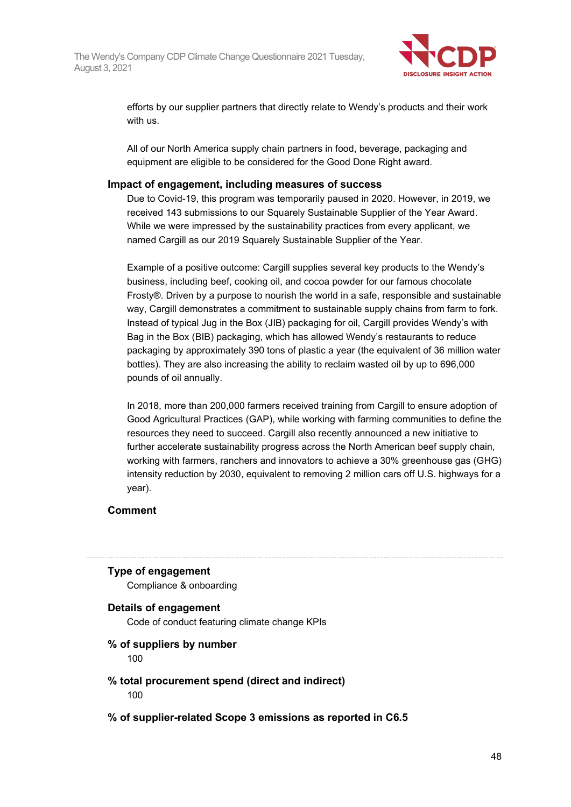

efforts by our supplier partners that directly relate to Wendy's products and their work with us.

All of our North America supply chain partners in food, beverage, packaging and equipment are eligible to be considered for the Good Done Right award.

#### **Impact of engagement, including measures of success**

Due to Covid-19, this program was temporarily paused in 2020. However, in 2019, we received 143 submissions to our Squarely Sustainable Supplier of the Year Award. While we were impressed by the sustainability practices from every applicant, we named Cargill as our 2019 Squarely Sustainable Supplier of the Year.

Example of a positive outcome: Cargill supplies several key products to the Wendy's business, including beef, cooking oil, and cocoa powder for our famous chocolate Frosty®. Driven by a purpose to nourish the world in a safe, responsible and sustainable way, Cargill demonstrates a commitment to sustainable supply chains from farm to fork. Instead of typical Jug in the Box (JIB) packaging for oil, Cargill provides Wendy's with Bag in the Box (BIB) packaging, which has allowed Wendy's restaurants to reduce packaging by approximately 390 tons of plastic a year (the equivalent of 36 million water bottles). They are also increasing the ability to reclaim wasted oil by up to 696,000 pounds of oil annually.

In 2018, more than 200,000 farmers received training from Cargill to ensure adoption of Good Agricultural Practices (GAP), while working with farming communities to define the resources they need to succeed. Cargill also recently announced a new initiative to further accelerate sustainability progress across the North American beef supply chain, working with farmers, ranchers and innovators to achieve a 30% greenhouse gas (GHG) intensity reduction by 2030, equivalent to removing 2 million cars off U.S. highways for a year).

#### **Comment**

#### **Type of engagement**

Compliance & onboarding

#### **Details of engagement**

Code of conduct featuring climate change KPIs

#### **% of suppliers by number**

100

#### **% total procurement spend (direct and indirect)** 100

#### **% of supplier-related Scope 3 emissions as reported in C6.5**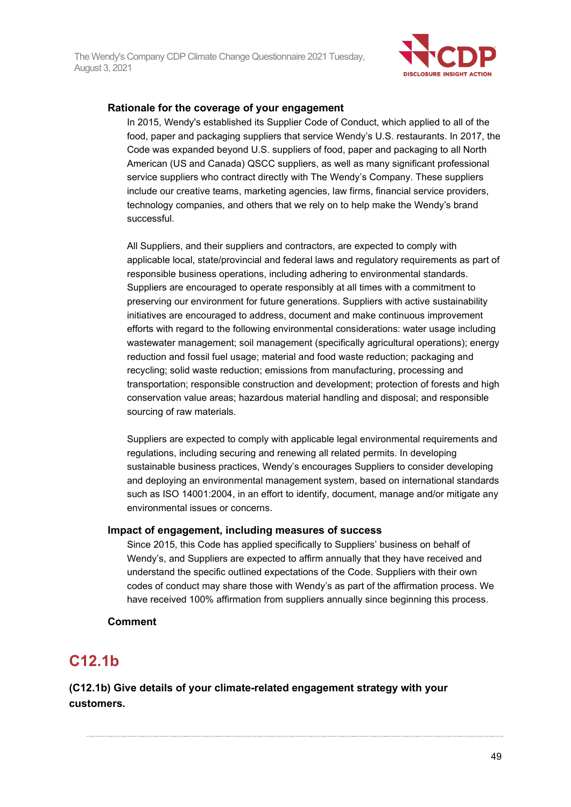

#### **Rationale for the coverage of your engagement**

In 2015, Wendy's established its Supplier Code of Conduct, which applied to all of the food, paper and packaging suppliers that service Wendy's U.S. restaurants. In 2017, the Code was expanded beyond U.S. suppliers of food, paper and packaging to all North American (US and Canada) QSCC suppliers, as well as many significant professional service suppliers who contract directly with The Wendy's Company. These suppliers include our creative teams, marketing agencies, law firms, financial service providers, technology companies, and others that we rely on to help make the Wendy's brand successful.

All Suppliers, and their suppliers and contractors, are expected to comply with applicable local, state/provincial and federal laws and regulatory requirements as part of responsible business operations, including adhering to environmental standards. Suppliers are encouraged to operate responsibly at all times with a commitment to preserving our environment for future generations. Suppliers with active sustainability initiatives are encouraged to address, document and make continuous improvement efforts with regard to the following environmental considerations: water usage including wastewater management; soil management (specifically agricultural operations); energy reduction and fossil fuel usage; material and food waste reduction; packaging and recycling; solid waste reduction; emissions from manufacturing, processing and transportation; responsible construction and development; protection of forests and high conservation value areas; hazardous material handling and disposal; and responsible sourcing of raw materials.

Suppliers are expected to comply with applicable legal environmental requirements and regulations, including securing and renewing all related permits. In developing sustainable business practices, Wendy's encourages Suppliers to consider developing and deploying an environmental management system, based on international standards such as ISO 14001:2004, in an effort to identify, document, manage and/or mitigate any environmental issues or concerns.

#### **Impact of engagement, including measures of success**

Since 2015, this Code has applied specifically to Suppliers' business on behalf of Wendy's, and Suppliers are expected to affirm annually that they have received and understand the specific outlined expectations of the Code. Suppliers with their own codes of conduct may share those with Wendy's as part of the affirmation process. We have received 100% affirmation from suppliers annually since beginning this process.

#### **Comment**

## **C12.1b**

**(C12.1b) Give details of your climate-related engagement strategy with your customers.**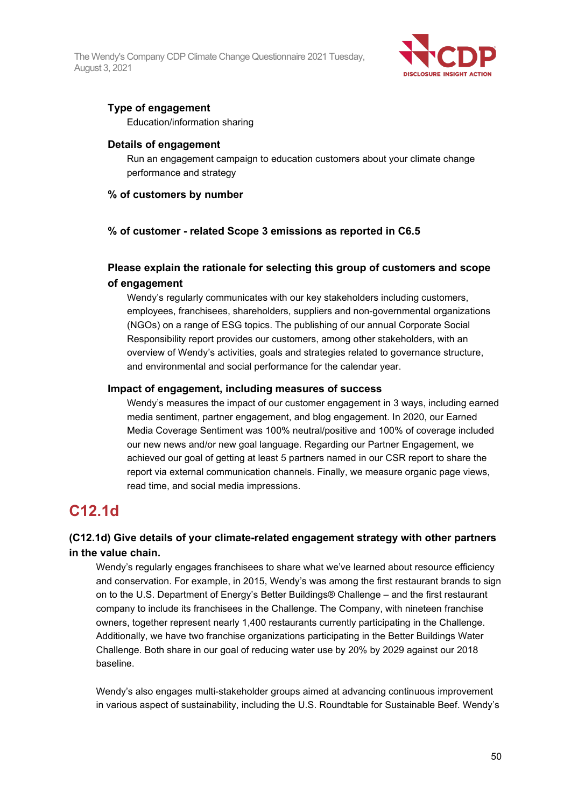

### **Type of engagement**

Education/information sharing

#### **Details of engagement**

Run an engagement campaign to education customers about your climate change performance and strategy

#### **% of customers by number**

#### **% of customer - related Scope 3 emissions as reported in C6.5**

### **Please explain the rationale for selecting this group of customers and scope of engagement**

Wendy's regularly communicates with our key stakeholders including customers, employees, franchisees, shareholders, suppliers and non-governmental organizations (NGOs) on a range of ESG topics. The publishing of our annual Corporate Social Responsibility report provides our customers, among other stakeholders, with an overview of Wendy's activities, goals and strategies related to governance structure, and environmental and social performance for the calendar year.

#### **Impact of engagement, including measures of success**

Wendy's measures the impact of our customer engagement in 3 ways, including earned media sentiment, partner engagement, and blog engagement. In 2020, our Earned Media Coverage Sentiment was 100% neutral/positive and 100% of coverage included our new news and/or new goal language. Regarding our Partner Engagement, we achieved our goal of getting at least 5 partners named in our CSR report to share the report via external communication channels. Finally, we measure organic page views, read time, and social media impressions.

## **C12.1d**

### **(C12.1d) Give details of your climate-related engagement strategy with other partners in the value chain.**

Wendy's regularly engages franchisees to share what we've learned about resource efficiency and conservation. For example, in 2015, Wendy's was among the first restaurant brands to sign on to the U.S. Department of Energy's Better Buildings® Challenge – and the first restaurant company to include its franchisees in the Challenge. The Company, with nineteen franchise owners, together represent nearly 1,400 restaurants currently participating in the Challenge. Additionally, we have two franchise organizations participating in the Better Buildings Water Challenge. Both share in our goal of reducing water use by 20% by 2029 against our 2018 baseline.

Wendy's also engages multi-stakeholder groups aimed at advancing continuous improvement in various aspect of sustainability, including the U.S. Roundtable for Sustainable Beef. Wendy's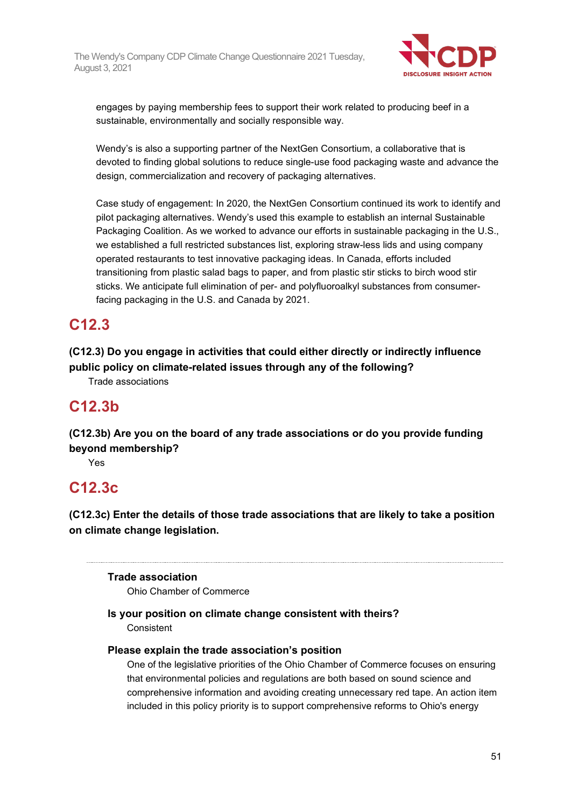

engages by paying membership fees to support their work related to producing beef in a sustainable, environmentally and socially responsible way.

Wendy's is also a supporting partner of the NextGen Consortium, a collaborative that is devoted to finding global solutions to reduce single-use food packaging waste and advance the design, commercialization and recovery of packaging alternatives.

Case study of engagement: In 2020, the NextGen Consortium continued its work to identify and pilot packaging alternatives. Wendy's used this example to establish an internal Sustainable Packaging Coalition. As we worked to advance our efforts in sustainable packaging in the U.S., we established a full restricted substances list, exploring straw-less lids and using company operated restaurants to test innovative packaging ideas. In Canada, efforts included transitioning from plastic salad bags to paper, and from plastic stir sticks to birch wood stir sticks. We anticipate full elimination of per- and polyfluoroalkyl substances from consumerfacing packaging in the U.S. and Canada by 2021.

## **C12.3**

**(C12.3) Do you engage in activities that could either directly or indirectly influence public policy on climate-related issues through any of the following?**

Trade associations

## **C12.3b**

**(C12.3b) Are you on the board of any trade associations or do you provide funding beyond membership?**

Yes

## **C12.3c**

**(C12.3c) Enter the details of those trade associations that are likely to take a position on climate change legislation.**

### **Trade association**

Ohio Chamber of Commerce

#### **Is your position on climate change consistent with theirs? Consistent**

#### **Please explain the trade association's position**

One of the legislative priorities of the Ohio Chamber of Commerce focuses on ensuring that environmental policies and regulations are both based on sound science and comprehensive information and avoiding creating unnecessary red tape. An action item included in this policy priority is to support comprehensive reforms to Ohio's energy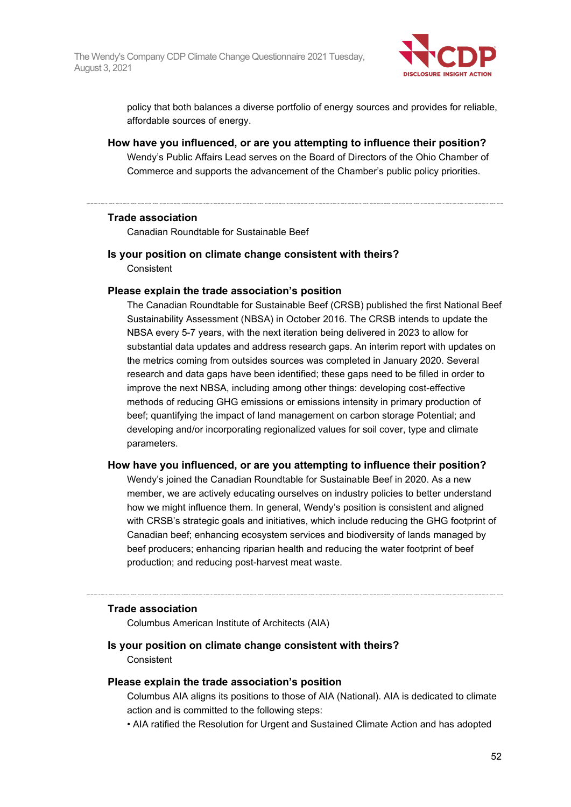

policy that both balances a diverse portfolio of energy sources and provides for reliable, affordable sources of energy.

**How have you influenced, or are you attempting to influence their position?** Wendy's Public Affairs Lead serves on the Board of Directors of the Ohio Chamber of Commerce and supports the advancement of the Chamber's public policy priorities.

#### **Trade association**

Canadian Roundtable for Sustainable Beef

**Is your position on climate change consistent with theirs? Consistent** 

#### **Please explain the trade association's position**

The Canadian Roundtable for Sustainable Beef (CRSB) published the first National Beef Sustainability Assessment (NBSA) in October 2016. The CRSB intends to update the NBSA every 5-7 years, with the next iteration being delivered in 2023 to allow for substantial data updates and address research gaps. An interim report with updates on the metrics coming from outsides sources was completed in January 2020. Several research and data gaps have been identified; these gaps need to be filled in order to improve the next NBSA, including among other things: developing cost-effective methods of reducing GHG emissions or emissions intensity in primary production of beef; quantifying the impact of land management on carbon storage Potential; and developing and/or incorporating regionalized values for soil cover, type and climate parameters.

#### **How have you influenced, or are you attempting to influence their position?**

Wendy's joined the Canadian Roundtable for Sustainable Beef in 2020. As a new member, we are actively educating ourselves on industry policies to better understand how we might influence them. In general, Wendy's position is consistent and aligned with CRSB's strategic goals and initiatives, which include reducing the GHG footprint of Canadian beef; enhancing ecosystem services and biodiversity of lands managed by beef producers; enhancing riparian health and reducing the water footprint of beef production; and reducing post-harvest meat waste.

#### **Trade association**

Columbus American Institute of Architects (AIA)

#### **Is your position on climate change consistent with theirs? Consistent**

#### **Please explain the trade association's position**

Columbus AIA aligns its positions to those of AIA (National). AIA is dedicated to climate action and is committed to the following steps:

• AIA ratified the Resolution for Urgent and Sustained Climate Action and has adopted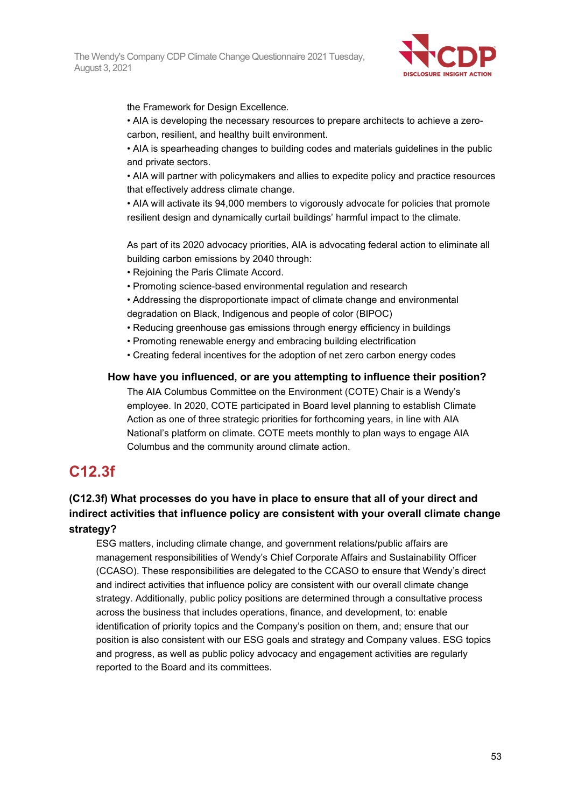

the Framework for Design Excellence.

• AIA is developing the necessary resources to prepare architects to achieve a zerocarbon, resilient, and healthy built environment.

• AIA is spearheading changes to building codes and materials guidelines in the public and private sectors.

• AIA will partner with policymakers and allies to expedite policy and practice resources that effectively address climate change.

• AIA will activate its 94,000 members to vigorously advocate for policies that promote resilient design and dynamically curtail buildings' harmful impact to the climate.

As part of its 2020 advocacy priorities, AIA is advocating federal action to eliminate all building carbon emissions by 2040 through:

- Rejoining the Paris Climate Accord.
- Promoting science-based environmental regulation and research
- Addressing the disproportionate impact of climate change and environmental degradation on Black, Indigenous and people of color (BIPOC)
- Reducing greenhouse gas emissions through energy efficiency in buildings
- Promoting renewable energy and embracing building electrification
- Creating federal incentives for the adoption of net zero carbon energy codes

#### **How have you influenced, or are you attempting to influence their position?**

The AIA Columbus Committee on the Environment (COTE) Chair is a Wendy's employee. In 2020, COTE participated in Board level planning to establish Climate Action as one of three strategic priorities for forthcoming years, in line with AIA National's platform on climate. COTE meets monthly to plan ways to engage AIA Columbus and the community around climate action.

## **C12.3f**

### **(C12.3f) What processes do you have in place to ensure that all of your direct and indirect activities that influence policy are consistent with your overall climate change strategy?**

ESG matters, including climate change, and government relations/public affairs are management responsibilities of Wendy's Chief Corporate Affairs and Sustainability Officer (CCASO). These responsibilities are delegated to the CCASO to ensure that Wendy's direct and indirect activities that influence policy are consistent with our overall climate change strategy. Additionally, public policy positions are determined through a consultative process across the business that includes operations, finance, and development, to: enable identification of priority topics and the Company's position on them, and; ensure that our position is also consistent with our ESG goals and strategy and Company values. ESG topics and progress, as well as public policy advocacy and engagement activities are regularly reported to the Board and its committees.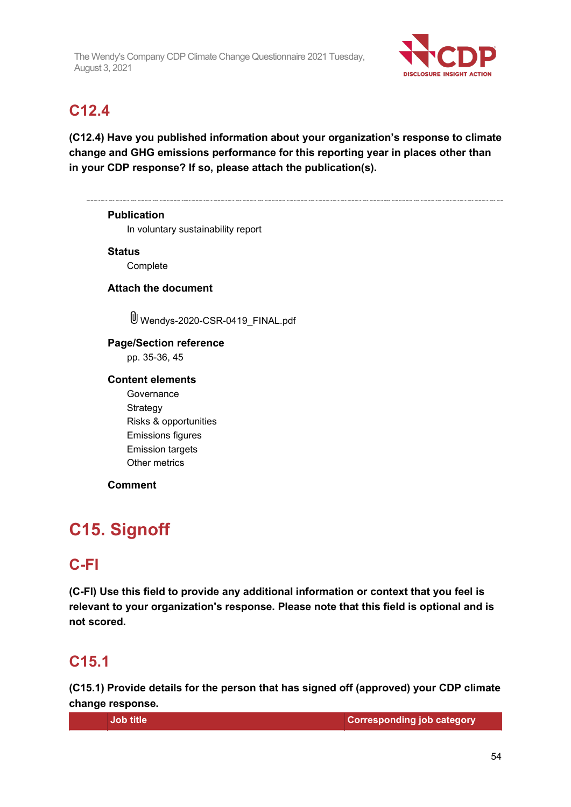

## **C12.4**

**(C12.4) Have you published information about your organization's response to climate change and GHG emissions performance for this reporting year in places other than in your CDP response? If so, please attach the publication(s).**

**Publication** In voluntary sustainability report **Status Complete Attach the document** Wendys-2020-CSR-0419 FINAL.pdf **Page/Section reference** pp. 35-36, 45 **Content elements Governance Strategy** Risks & opportunities Emissions figures Emission targets Other metrics **Comment**

# **C15. Signoff**

## **C-FI**

**(C-FI) Use this field to provide any additional information or context that you feel is relevant to your organization's response. Please note that this field is optional and is not scored.**

## **C15.1**

**(C15.1) Provide details for the person that has signed off (approved) your CDP climate change response.**

**Job title Corresponding job category**